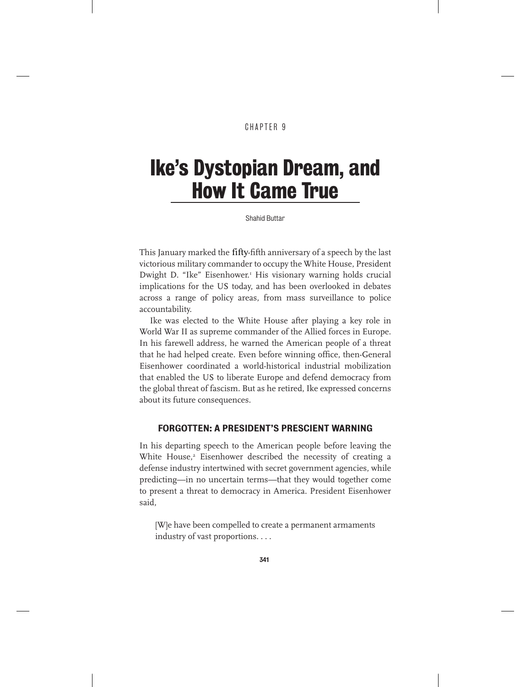#### CHAPTER 9

## Ike's Dystopian Dream, and How It Came True

Shahid Buttar

This January marked the fifty-fifth anniversary of a speech by the last victorious military commander to occupy the White House, President Dwight D. "Ike" Eisenhower.<sup>1</sup> His visionary warning holds crucial implications for the US today, and has been overlooked in debates across a range of policy areas, from mass surveillance to police accountability.

Ike was elected to the White House after playing a key role in World War II as supreme commander of the Allied forces in Europe. In his farewell address, he warned the American people of a threat that he had helped create. Even before winning office, then-General Eisenhower coordinated a world-historical industrial mobilization that enabled the US to liberate Europe and defend democracy from the global threat of fascism. But as he retired, Ike expressed concerns about its future consequences.

#### FORGOTTEN: A PRESIDENT'S PRESCIENT WARNING

In his departing speech to the American people before leaving the White House,<sup>2</sup> Eisenhower described the necessity of creating a defense industry intertwined with secret government agencies, while predicting—in no uncertain terms—that they would together come to present a threat to democracy in America. President Eisenhower said,

[W]e have been compelled to create a permanent armaments industry of vast proportions. . . .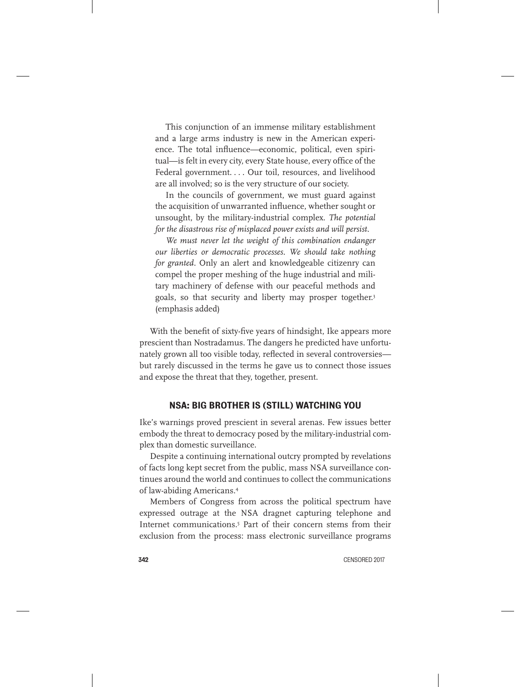This conjunction of an immense military establishment and a large arms industry is new in the American experience. The total influence—economic, political, even spiritual—is felt in every city, every State house, every office of the Federal government.... Our toil, resources, and livelihood are all involved; so is the very structure of our society.

In the councils of government, we must guard against the acquisition of unwarranted influence, whether sought or unsought, by the military-industrial complex. *The potential for the disastrous rise of misplaced power exists and will persist.*

*We must never let the weight of this combination endanger our liberties or democratic processes. We should take nothing for granted.* Only an alert and knowledgeable citizenry can compel the proper meshing of the huge industrial and military machinery of defense with our peaceful methods and goals, so that security and liberty may prosper together.3 (emphasis added)

With the benefit of sixty-five years of hindsight, Ike appears more prescient than Nostradamus. The dangers he predicted have unfortunately grown all too visible today, reflected in several controversies but rarely discussed in the terms he gave us to connect those issues and expose the threat that they, together, present.

#### NSA: BIG BROTHER IS (STILL) WATCHING YOU

Ike's warnings proved prescient in several arenas. Few issues better embody the threat to democracy posed by the military-industrial complex than domestic surveillance.

Despite a continuing international outcry prompted by revelations of facts long kept secret from the public, mass NSA surveillance continues around the world and continues to collect the communications of law-abiding Americans.4

Members of Congress from across the political spectrum have expressed outrage at the NSA dragnet capturing telephone and Internet communications.5 Part of their concern stems from their exclusion from the process: mass electronic surveillance programs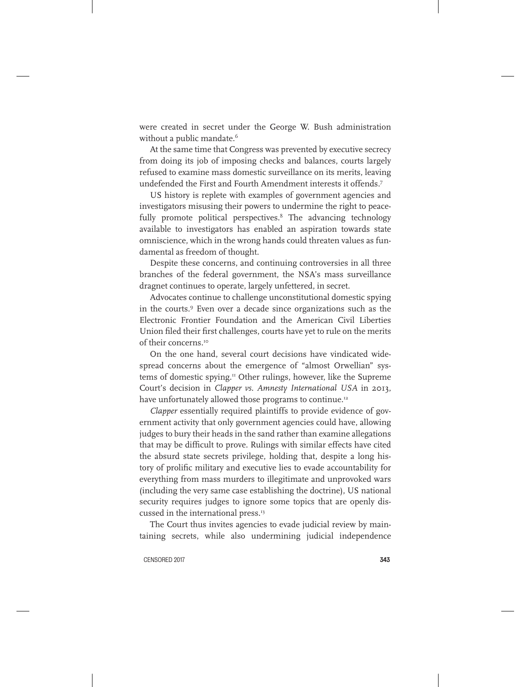were created in secret under the George W. Bush administration without a public mandate.<sup>6</sup>

At the same time that Congress was prevented by executive secrecy from doing its job of imposing checks and balances, courts largely refused to examine mass domestic surveillance on its merits, leaving undefended the First and Fourth Amendment interests it offends.7

US history is replete with examples of government agencies and investigators misusing their powers to undermine the right to peacefully promote political perspectives.<sup>8</sup> The advancing technology available to investigators has enabled an aspiration towards state omniscience, which in the wrong hands could threaten values as fundamental as freedom of thought.

Despite these concerns, and continuing controversies in all three branches of the federal government, the NSA's mass surveillance dragnet continues to operate, largely unfettered, in secret.

Advocates continue to challenge unconstitutional domestic spying in the courts.9 Even over a decade since organizations such as the Electronic Frontier Foundation and the American Civil Liberties Union filed their first challenges, courts have yet to rule on the merits of their concerns.10

On the one hand, several court decisions have vindicated widespread concerns about the emergence of "almost Orwellian" systems of domestic spying.<sup>11</sup> Other rulings, however, like the Supreme Court's decision in *Clapper vs. Amnesty International USA* in 2013, have unfortunately allowed those programs to continue.<sup>12</sup>

*Clapper* essentially required plaintiffs to provide evidence of government activity that only government agencies could have, allowing judges to bury their heads in the sand rather than examine allegations that may be difficult to prove. Rulings with similar effects have cited the absurd state secrets privilege, holding that, despite a long history of prolific military and executive lies to evade accountability for everything from mass murders to illegitimate and unprovoked wars (including the very same case establishing the doctrine), US national security requires judges to ignore some topics that are openly discussed in the international press.<sup>13</sup>

The Court thus invites agencies to evade judicial review by maintaining secrets, while also undermining judicial independence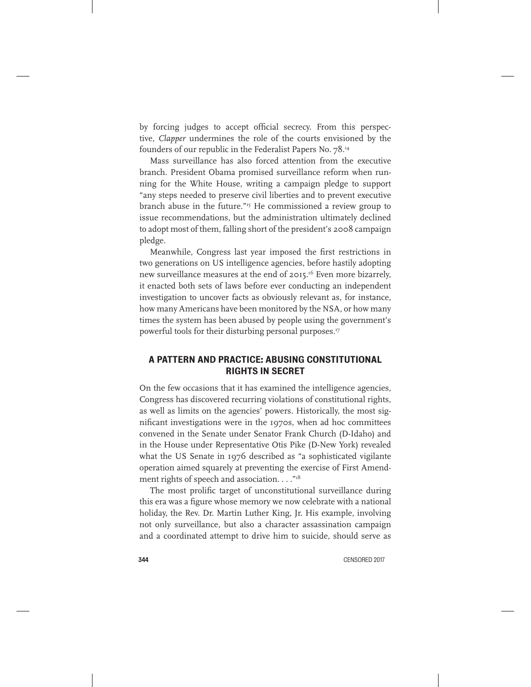by forcing judges to accept official secrecy. From this perspective, *Clapper* undermines the role of the courts envisioned by the founders of our republic in the Federalist Papers No. 78.14

Mass surveillance has also forced attention from the executive branch. President Obama promised surveillance reform when running for the White House, writing a campaign pledge to support "any steps needed to preserve civil liberties and to prevent executive branch abuse in the future."<sup>15</sup> He commissioned a review group to issue recommendations, but the administration ultimately declined to adopt most of them, falling short of the president's 2008 campaign pledge.

Meanwhile, Congress last year imposed the first restrictions in two generations on US intelligence agencies, before hastily adopting new surveillance measures at the end of 2015.<sup>16</sup> Even more bizarrely, it enacted both sets of laws before ever conducting an independent investigation to uncover facts as obviously relevant as, for instance, how many Americans have been monitored by the NSA, or how many times the system has been abused by people using the government's powerful tools for their disturbing personal purposes.17

#### A PATTERN AND PRACTICE: ABUSING CONSTITUTIONAL RIGHTS IN SECRET

On the few occasions that it has examined the intelligence agencies, Congress has discovered recurring violations of constitutional rights, as well as limits on the agencies' powers. Historically, the most significant investigations were in the 1970s, when ad hoc committees convened in the Senate under Senator Frank Church (D-Idaho) and in the House under Representative Otis Pike (D-New York) revealed what the US Senate in 1976 described as "a sophisticated vigilante operation aimed squarely at preventing the exercise of First Amendment rights of speech and association. . . . "18

The most prolific target of unconstitutional surveillance during this era was a figure whose memory we now celebrate with a national holiday, the Rev. Dr. Martin Luther King, Jr. His example, involving not only surveillance, but also a character assassination campaign and a coordinated attempt to drive him to suicide, should serve as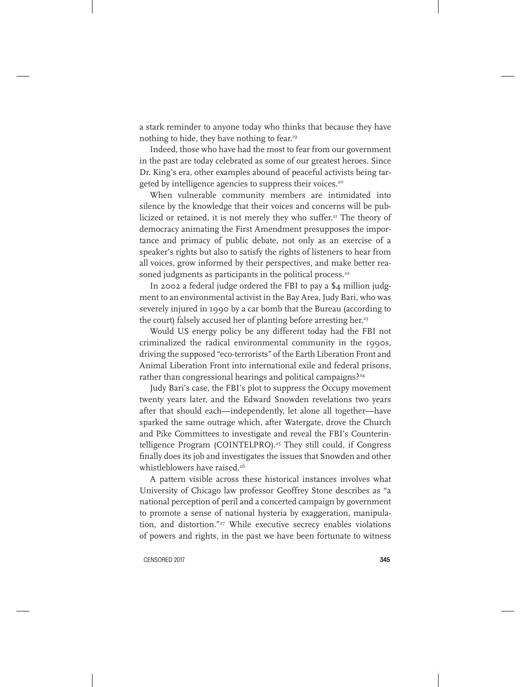a stark reminder to anyone today who thinks that because they have nothing to hide, they have nothing to fear.19

Indeed, those who have had the most to fear from our government in the past are today celebrated as some of our greatest heroes. Since Dr. King's era, other examples abound of peaceful activists being targeted by intelligence agencies to suppress their voices.<sup>20</sup>

When vulnerable community members are intimidated into silence by the knowledge that their voices and concerns will be publicized or retained, it is not merely they who suffer.<sup>21</sup> The theory of democracy animating the First Amendment presupposes the importance and primacy of public debate, not only as an exercise of a speaker's rights but also to satisfy the rights of listeners to hear from all voices, grow informed by their perspectives, and make better reasoned judgments as participants in the political process.<sup>22</sup>

In 2002 a federal judge ordered the FBI to pay a \$4 million judgment to an environmental activist in the Bay Area, Judy Bari, who was severely injured in 1990 by a car bomb that the Bureau (according to the court) falsely accused her of planting before arresting her.<sup>23</sup>

Would US energy policy be any different today had the FBI not criminalized the radical environmental community in the 1990s, driving the supposed "eco-terrorists" of the Earth Liberation Front and Animal Liberation Front into international exile and federal prisons, rather than congressional hearings and political campaigns?<sup>24</sup>

Judy Bari's case, the FBI's plot to suppress the Occupy movement twenty years later, and the Edward Snowden revelations two years after that should each—independently, let alone all together—have sparked the same outrage which, after Watergate, drove the Church and Pike Committees to investigate and reveal the FBI's Counterintelligence Program (COINTELPRO).<sup>25</sup> They still could, if Congress finally does its job and investigates the issues that Snowden and other whistleblowers have raised.<sup>26</sup>

A pattern visible across these historical instances involves what University of Chicago law professor Geoffrey Stone describes as "a national perception of peril and a concerted campaign by government to promote a sense of national hysteria by exaggeration, manipulation, and distortion."<sup>27</sup> While executive secrecy enables violations of powers and rights, in the past we have been fortunate to witness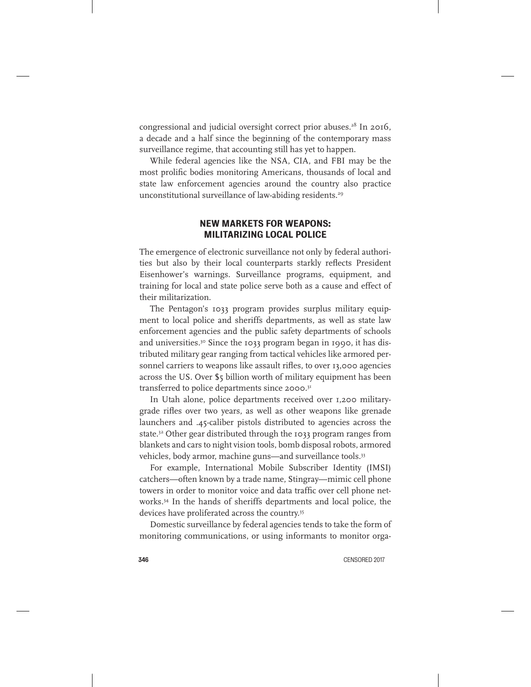congressional and judicial oversight correct prior abuses.<sup>28</sup> In 2016, a decade and a half since the beginning of the contemporary mass surveillance regime, that accounting still has yet to happen.

While federal agencies like the NSA, CIA, and FBI may be the most prolific bodies monitoring Americans, thousands of local and state law enforcement agencies around the country also practice unconstitutional surveillance of law-abiding residents.<sup>29</sup>

#### NEW MARKETS FOR WEAPONS: MILITARIZING LOCAL POLICE

The emergence of electronic surveillance not only by federal authorities but also by their local counterparts starkly reflects President Eisenhower's warnings. Surveillance programs, equipment, and training for local and state police serve both as a cause and effect of their militarization.

The Pentagon's 1033 program provides surplus military equipment to local police and sheriffs departments, as well as state law enforcement agencies and the public safety departments of schools and universities.<sup>30</sup> Since the 1033 program began in 1990, it has distributed military gear ranging from tactical vehicles like armored personnel carriers to weapons like assault rifles, to over 13,000 agencies across the US. Over \$5 billion worth of military equipment has been transferred to police departments since 2000.31

In Utah alone, police departments received over 1,200 militarygrade rifles over two years, as well as other weapons like grenade launchers and .45-caliber pistols distributed to agencies across the state.<sup>32</sup> Other gear distributed through the 1033 program ranges from blankets and cars to night vision tools, bomb disposal robots, armored vehicles, body armor, machine guns—and surveillance tools.<sup>33</sup>

For example, International Mobile Subscriber Identity (IMSI) catchers—often known by a trade name, Stingray—mimic cell phone towers in order to monitor voice and data traffic over cell phone networks.34 In the hands of sheriffs departments and local police, the devices have proliferated across the country.35

Domestic surveillance by federal agencies tends to take the form of monitoring communications, or using informants to monitor orga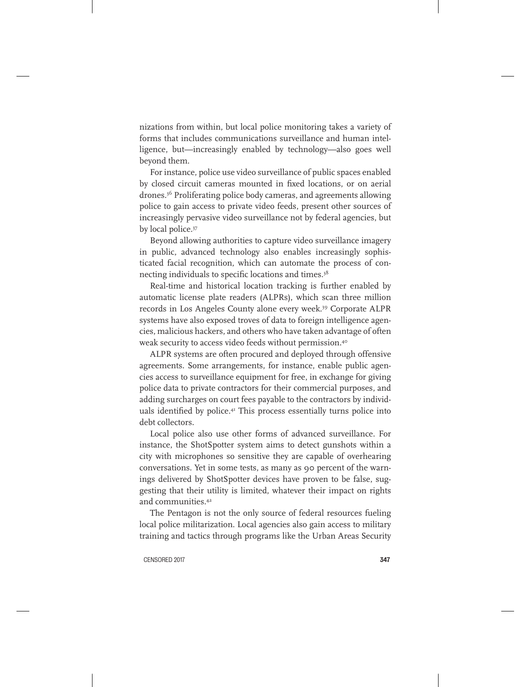nizations from within, but local police monitoring takes a variety of forms that includes communications surveillance and human intelligence, but—increasingly enabled by technology—also goes well beyond them.

For instance, police use video surveillance of public spaces enabled by closed circuit cameras mounted in fixed locations, or on aerial drones.36 Proliferating police body cameras, and agreements allowing police to gain access to private video feeds, present other sources of increasingly pervasive video surveillance not by federal agencies, but by local police.<sup>37</sup>

Beyond allowing authorities to capture video surveillance imagery in public, advanced technology also enables increasingly sophisticated facial recognition, which can automate the process of connecting individuals to specific locations and times.<sup>38</sup>

Real-time and historical location tracking is further enabled by automatic license plate readers (ALPRs), which scan three million records in Los Angeles County alone every week.39 Corporate ALPR systems have also exposed troves of data to foreign intelligence agencies, malicious hackers, and others who have taken advantage of often weak security to access video feeds without permission.40

ALPR systems are often procured and deployed through offensive agreements. Some arrangements, for instance, enable public agencies access to surveillance equipment for free, in exchange for giving police data to private contractors for their commercial purposes, and adding surcharges on court fees payable to the contractors by individuals identified by police.<sup>41</sup> This process essentially turns police into debt collectors.

Local police also use other forms of advanced surveillance. For instance, the ShotSpotter system aims to detect gunshots within a city with microphones so sensitive they are capable of overhearing conversations. Yet in some tests, as many as 90 percent of the warnings delivered by ShotSpotter devices have proven to be false, suggesting that their utility is limited, whatever their impact on rights and communities.42

The Pentagon is not the only source of federal resources fueling local police militarization. Local agencies also gain access to military training and tactics through programs like the Urban Areas Security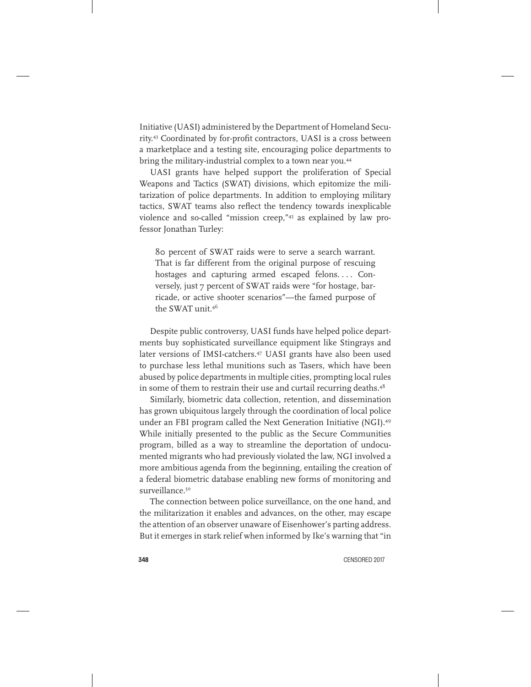Initiative (UASI) administered by the Department of Homeland Security.43 Coordinated by for-profit contractors, UASI is a cross between a marketplace and a testing site, encouraging police departments to bring the military-industrial complex to a town near you.<sup>44</sup>

UASI grants have helped support the proliferation of Special Weapons and Tactics (SWAT) divisions, which epitomize the militarization of police departments. In addition to employing military tactics, SWAT teams also reflect the tendency towards inexplicable violence and so-called "mission creep,"45 as explained by law professor Jonathan Turley:

80 percent of SWAT raids were to serve a search warrant. That is far different from the original purpose of rescuing hostages and capturing armed escaped felons.... Conversely, just 7 percent of SWAT raids were "for hostage, barricade, or active shooter scenarios"—the famed purpose of the SWAT unit.46

Despite public controversy, UASI funds have helped police departments buy sophisticated surveillance equipment like Stingrays and later versions of IMSI-catchers.47 UASI grants have also been used to purchase less lethal munitions such as Tasers, which have been abused by police departments in multiple cities, prompting local rules in some of them to restrain their use and curtail recurring deaths.<sup>48</sup>

Similarly, biometric data collection, retention, and dissemination has grown ubiquitous largely through the coordination of local police under an FBI program called the Next Generation Initiative (NGI).49 While initially presented to the public as the Secure Communities program, billed as a way to streamline the deportation of undocumented migrants who had previously violated the law, NGI involved a more ambitious agenda from the beginning, entailing the creation of a federal biometric database enabling new forms of monitoring and surveillance.<sup>50</sup>

The connection between police surveillance, on the one hand, and the militarization it enables and advances, on the other, may escape the attention of an observer unaware of Eisenhower's parting address. But it emerges in stark relief when informed by Ike's warning that "in

348 CENSORED 2017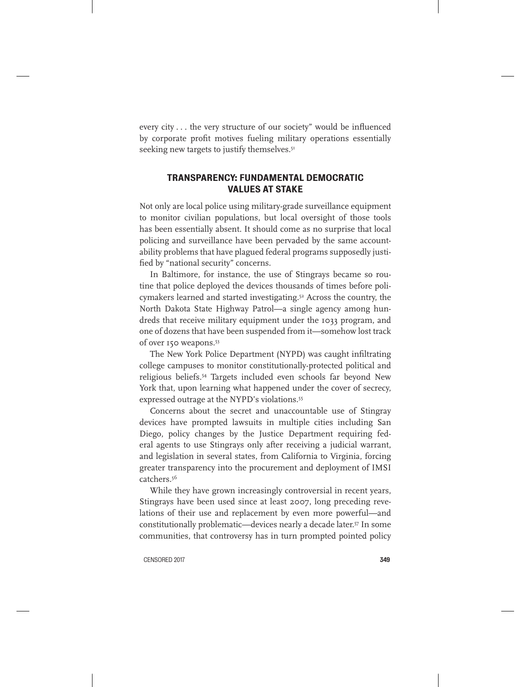every city . . . the very structure of our society" would be influenced by corporate profit motives fueling military operations essentially seeking new targets to justify themselves.<sup>51</sup>

#### TRANSPARENCY: FUNDAMENTAL DEMOCRATIC VALUES AT STAKE

Not only are local police using military-grade surveillance equipment to monitor civilian populations, but local oversight of those tools has been essentially absent. It should come as no surprise that local policing and surveillance have been pervaded by the same accountability problems that have plagued federal programs supposedly justified by "national security" concerns.

In Baltimore, for instance, the use of Stingrays became so routine that police deployed the devices thousands of times before policymakers learned and started investigating.<sup>52</sup> Across the country, the North Dakota State Highway Patrol—a single agency among hundreds that receive military equipment under the 1033 program, and one of dozens that have been suspended from it—somehow lost track of over 150 weapons.53

The New York Police Department (NYPD) was caught infiltrating college campuses to monitor constitutionally-protected political and religious beliefs.54 Targets included even schools far beyond New York that, upon learning what happened under the cover of secrecy, expressed outrage at the NYPD's violations.<sup>55</sup>

Concerns about the secret and unaccountable use of Stingray devices have prompted lawsuits in multiple cities including San Diego, policy changes by the Justice Department requiring federal agents to use Stingrays only after receiving a judicial warrant, and legislation in several states, from California to Virginia, forcing greater transparency into the procurement and deployment of IMSI catchers.56

While they have grown increasingly controversial in recent years, Stingrays have been used since at least 2007, long preceding revelations of their use and replacement by even more powerful—and constitutionally problematic—devices nearly a decade later.<sup>57</sup> In some communities, that controversy has in turn prompted pointed policy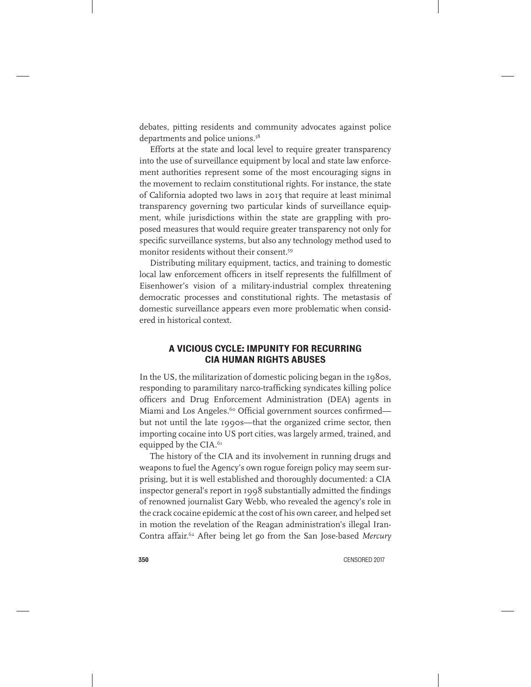debates, pitting residents and community advocates against police departments and police unions.<sup>58</sup>

Efforts at the state and local level to require greater transparency into the use of surveillance equipment by local and state law enforcement authorities represent some of the most encouraging signs in the movement to reclaim constitutional rights. For instance, the state of California adopted two laws in 2015 that require at least minimal transparency governing two particular kinds of surveillance equipment, while jurisdictions within the state are grappling with proposed measures that would require greater transparency not only for specific surveillance systems, but also any technology method used to monitor residents without their consent.59

Distributing military equipment, tactics, and training to domestic local law enforcement officers in itself represents the fulfillment of Eisenhower's vision of a military-industrial complex threatening democratic processes and constitutional rights. The metastasis of domestic surveillance appears even more problematic when considered in historical context.

#### A VICIOUS CYCLE: IMPUNITY FOR RECURRING CIA HUMAN RIGHTS ABUSES

In the US, the militarization of domestic policing began in the 1980s, responding to paramilitary narco-trafficking syndicates killing police officers and Drug Enforcement Administration (DEA) agents in Miami and Los Angeles.<sup>60</sup> Official government sources confirmedbut not until the late 1990s—that the organized crime sector, then importing cocaine into US port cities, was largely armed, trained, and equipped by the CIA.<sup>61</sup>

The history of the CIA and its involvement in running drugs and weapons to fuel the Agency's own rogue foreign policy may seem surprising, but it is well established and thoroughly documented: a CIA inspector general's report in 1998 substantially admitted the findings of renowned journalist Gary Webb, who revealed the agency's role in the crack cocaine epidemic at the cost of his own career, and helped set in motion the revelation of the Reagan administration's illegal Iran-Contra affair.62 After being let go from the San Jose-based *Mercury*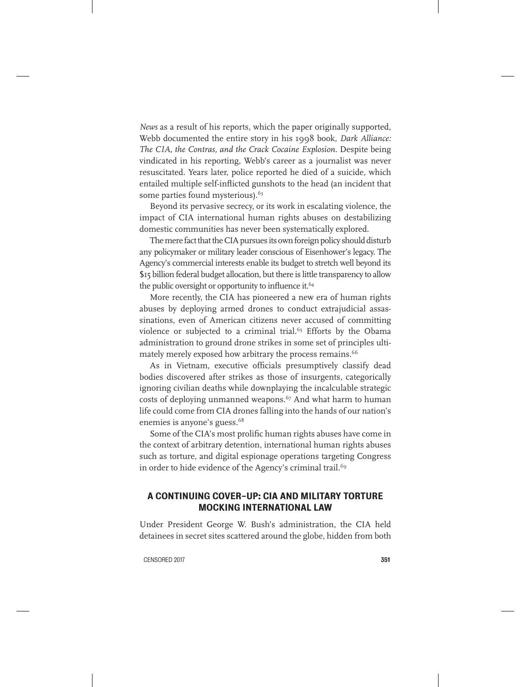*News* as a result of his reports, which the paper originally supported, Webb documented the entire story in his 1998 book, *Dark Alliance: The CIA, the Contras, and the Crack Cocaine Explosion*. Despite being vindicated in his reporting, Webb's career as a journalist was never resuscitated. Years later, police reported he died of a suicide, which entailed multiple self-inflicted gunshots to the head (an incident that some parties found mysterious).<sup>63</sup>

Beyond its pervasive secrecy, or its work in escalating violence, the impact of CIA international human rights abuses on destabilizing domestic communities has never been systematically explored.

The mere fact that the CIA pursues its own foreign policy should disturb any policymaker or military leader conscious of Eisenhower's legacy. The Agency's commercial interests enable its budget to stretch well beyond its \$15 billion federal budget allocation, but there is little transparency to allow the public oversight or opportunity to influence it.<sup>64</sup>

More recently, the CIA has pioneered a new era of human rights abuses by deploying armed drones to conduct extrajudicial assassinations, even of American citizens never accused of committing violence or subjected to a criminal trial.<sup>65</sup> Efforts by the Obama administration to ground drone strikes in some set of principles ultimately merely exposed how arbitrary the process remains.<sup>66</sup>

As in Vietnam, executive officials presumptively classify dead bodies discovered after strikes as those of insurgents, categorically ignoring civilian deaths while downplaying the incalculable strategic costs of deploying unmanned weapons.<sup>67</sup> And what harm to human life could come from CIA drones falling into the hands of our nation's enemies is anyone's guess.<sup>68</sup>

Some of the CIA's most prolific human rights abuses have come in the context of arbitrary detention, international human rights abuses such as torture, and digital espionage operations targeting Congress in order to hide evidence of the Agency's criminal trail.<sup>69</sup>

#### A CONTINUING COVER-UP: CIA AND MILITARY TORTURE MOCKING INTERNATIONAL LAW

Under President George W. Bush's administration, the CIA held detainees in secret sites scattered around the globe, hidden from both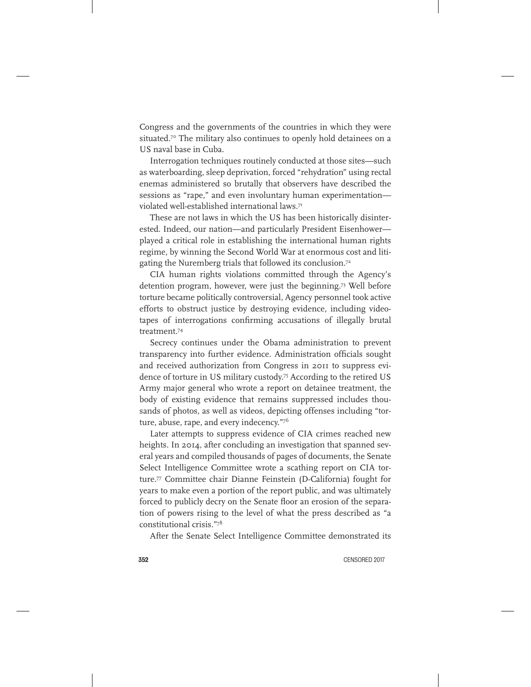Congress and the governments of the countries in which they were situated.<sup>70</sup> The military also continues to openly hold detainees on a US naval base in Cuba.

Interrogation techniques routinely conducted at those sites—such as waterboarding, sleep deprivation, forced "rehydration" using rectal enemas administered so brutally that observers have described the sessions as "rape," and even involuntary human experimentation violated well-established international laws.71

These are not laws in which the US has been historically disinterested. Indeed, our nation—and particularly President Eisenhower played a critical role in establishing the international human rights regime, by winning the Second World War at enormous cost and litigating the Nuremberg trials that followed its conclusion.<sup>72</sup>

CIA human rights violations committed through the Agency's detention program, however, were just the beginning.73 Well before torture became politically controversial, Agency personnel took active efforts to obstruct justice by destroying evidence, including videotapes of interrogations confirming accusations of illegally brutal treatment.74

Secrecy continues under the Obama administration to prevent transparency into further evidence. Administration officials sought and received authorization from Congress in 2011 to suppress evidence of torture in US military custody.75 According to the retired US Army major general who wrote a report on detainee treatment, the body of existing evidence that remains suppressed includes thousands of photos, as well as videos, depicting offenses including "torture, abuse, rape, and every indecency."76

Later attempts to suppress evidence of CIA crimes reached new heights. In 2014, after concluding an investigation that spanned several years and compiled thousands of pages of documents, the Senate Select Intelligence Committee wrote a scathing report on CIA torture.77 Committee chair Dianne Feinstein (D-California) fought for years to make even a portion of the report public, and was ultimately forced to publicly decry on the Senate floor an erosion of the separation of powers rising to the level of what the press described as "a constitutional crisis."78

After the Senate Select Intelligence Committee demonstrated its

352 CENSORED 2017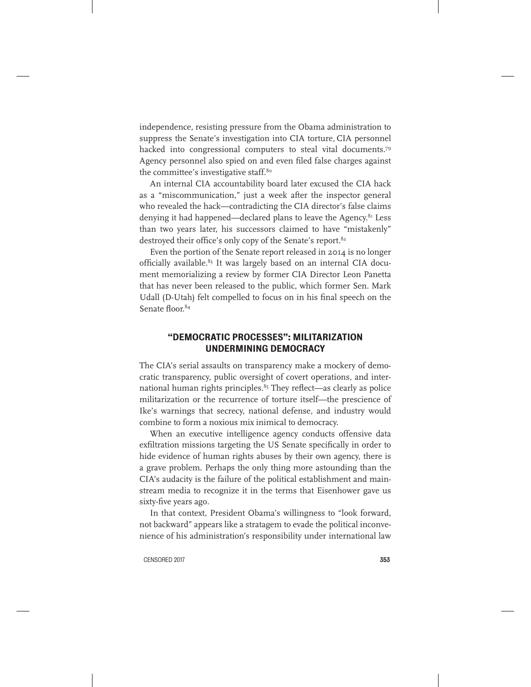independence, resisting pressure from the Obama administration to suppress the Senate's investigation into CIA torture, CIA personnel hacked into congressional computers to steal vital documents.<sup>79</sup> Agency personnel also spied on and even filed false charges against the committee's investigative staff.<sup>80</sup>

An internal CIA accountability board later excused the CIA hack as a "miscommunication," just a week after the inspector general who revealed the hack—contradicting the CIA director's false claims denying it had happened—declared plans to leave the Agency.<sup>81</sup> Less than two years later, his successors claimed to have "mistakenly" destroyed their office's only copy of the Senate's report.<sup>82</sup>

Even the portion of the Senate report released in 2014 is no longer officially available.<sup>83</sup> It was largely based on an internal CIA document memorializing a review by former CIA Director Leon Panetta that has never been released to the public, which former Sen. Mark Udall (D-Utah) felt compelled to focus on in his final speech on the Senate floor.<sup>84</sup>

#### "DEMOCRATIC PROCESSES": MILITARIZATION UNDERMINING DEMOCRACY

The CIA's serial assaults on transparency make a mockery of democratic transparency, public oversight of covert operations, and international human rights principles.<sup>85</sup> They reflect—as clearly as police militarization or the recurrence of torture itself—the prescience of Ike's warnings that secrecy, national defense, and industry would combine to form a noxious mix inimical to democracy.

When an executive intelligence agency conducts offensive data exfiltration missions targeting the US Senate specifically in order to hide evidence of human rights abuses by their own agency, there is a grave problem. Perhaps the only thing more astounding than the CIA's audacity is the failure of the political establishment and mainstream media to recognize it in the terms that Eisenhower gave us sixty-five years ago.

In that context, President Obama's willingness to "look forward, not backward" appears like a stratagem to evade the political inconvenience of his administration's responsibility under international law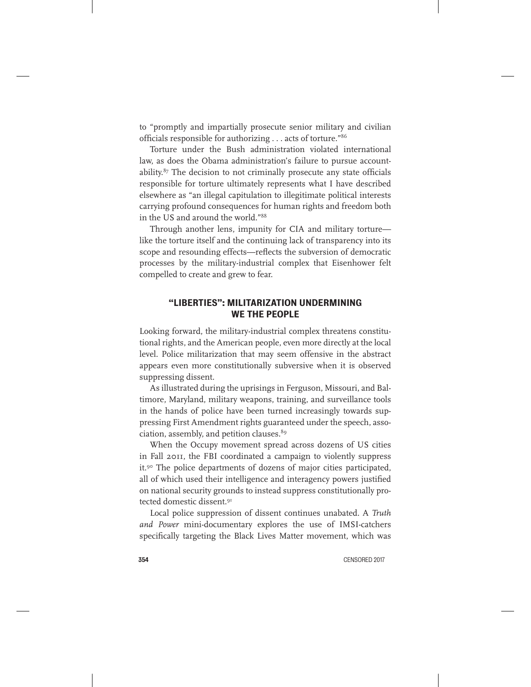to "promptly and impartially prosecute senior military and civilian officials responsible for authorizing . . . acts of torture."86

Torture under the Bush administration violated international law, as does the Obama administration's failure to pursue accountability.87 The decision to not criminally prosecute any state officials responsible for torture ultimately represents what I have described elsewhere as "an illegal capitulation to illegitimate political interests carrying profound consequences for human rights and freedom both in the US and around the world."88

Through another lens, impunity for CIA and military torture like the torture itself and the continuing lack of transparency into its scope and resounding effects—reflects the subversion of democratic processes by the military-industrial complex that Eisenhower felt compelled to create and grew to fear.

#### "LIBERTIES": MILITARIZATION UNDERMINING WE THE PEOPLE

Looking forward, the military-industrial complex threatens constitutional rights, and the American people, even more directly at the local level. Police militarization that may seem offensive in the abstract appears even more constitutionally subversive when it is observed suppressing dissent.

As illustrated during the uprisings in Ferguson, Missouri, and Baltimore, Maryland, military weapons, training, and surveillance tools in the hands of police have been turned increasingly towards suppressing First Amendment rights guaranteed under the speech, association, assembly, and petition clauses.<sup>89</sup>

When the Occupy movement spread across dozens of US cities in Fall 2011, the FBI coordinated a campaign to violently suppress it.<sup>90</sup> The police departments of dozens of major cities participated, all of which used their intelligence and interagency powers justified on national security grounds to instead suppress constitutionally protected domestic dissent.<sup>91</sup>

Local police suppression of dissent continues unabated. A *Truth and Power* mini-documentary explores the use of IMSI-catchers specifically targeting the Black Lives Matter movement, which was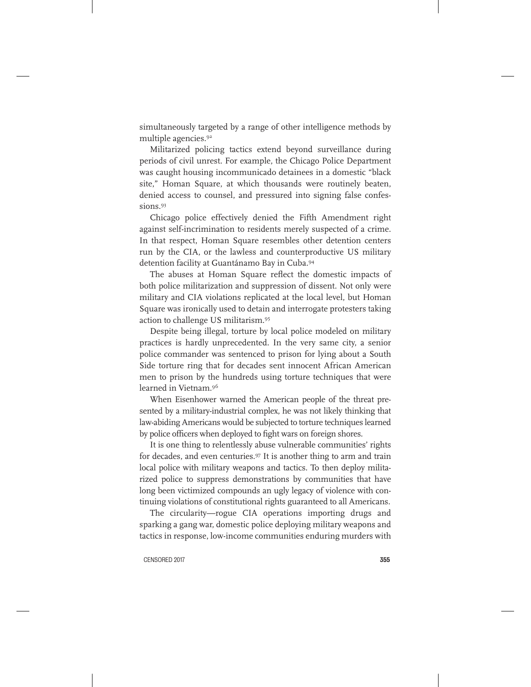simultaneously targeted by a range of other intelligence methods by multiple agencies.92

Militarized policing tactics extend beyond surveillance during periods of civil unrest. For example, the Chicago Police Department was caught housing incommunicado detainees in a domestic "black site," Homan Square, at which thousands were routinely beaten, denied access to counsel, and pressured into signing false confessions.93

Chicago police effectively denied the Fifth Amendment right against self-incrimination to residents merely suspected of a crime. In that respect, Homan Square resembles other detention centers run by the CIA, or the lawless and counterproductive US military detention facility at Guantánamo Bay in Cuba.94

The abuses at Homan Square reflect the domestic impacts of both police militarization and suppression of dissent. Not only were military and CIA violations replicated at the local level, but Homan Square was ironically used to detain and interrogate protesters taking action to challenge US militarism.95

Despite being illegal, torture by local police modeled on military practices is hardly unprecedented. In the very same city, a senior police commander was sentenced to prison for lying about a South Side torture ring that for decades sent innocent African American men to prison by the hundreds using torture techniques that were learned in Vietnam.96

When Eisenhower warned the American people of the threat presented by a military-industrial complex, he was not likely thinking that law-abiding Americans would be subjected to torture techniques learned by police officers when deployed to fight wars on foreign shores.

It is one thing to relentlessly abuse vulnerable communities' rights for decades, and even centuries.<sup>97</sup> It is another thing to arm and train local police with military weapons and tactics. To then deploy militarized police to suppress demonstrations by communities that have long been victimized compounds an ugly legacy of violence with continuing violations of constitutional rights guaranteed to all Americans.

The circularity—rogue CIA operations importing drugs and sparking a gang war, domestic police deploying military weapons and tactics in response, low-income communities enduring murders with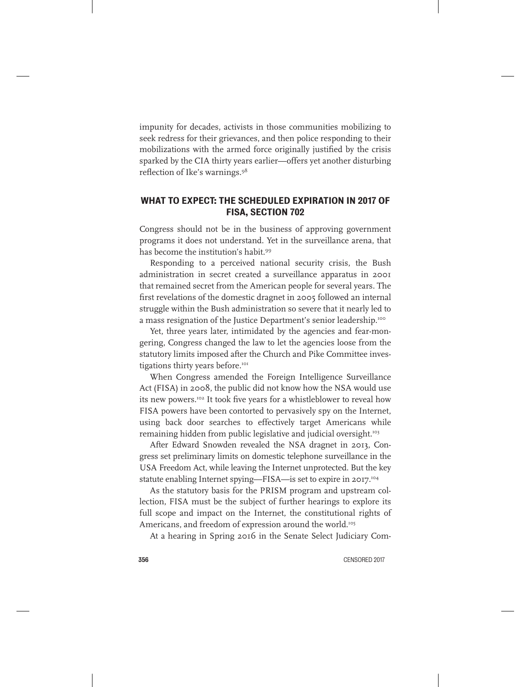impunity for decades, activists in those communities mobilizing to seek redress for their grievances, and then police responding to their mobilizations with the armed force originally justified by the crisis sparked by the CIA thirty years earlier—offers yet another disturbing reflection of Ike's warnings.98

#### WHAT TO EXPECT: THE SCHEDULED EXPIRATION IN 2017 OF FISA, SECTION 702

Congress should not be in the business of approving government programs it does not understand. Yet in the surveillance arena, that has become the institution's habit.99

Responding to a perceived national security crisis, the Bush administration in secret created a surveillance apparatus in 2001 that remained secret from the American people for several years. The first revelations of the domestic dragnet in 2005 followed an internal struggle within the Bush administration so severe that it nearly led to a mass resignation of the Justice Department's senior leadership.<sup>100</sup>

Yet, three years later, intimidated by the agencies and fear-mongering, Congress changed the law to let the agencies loose from the statutory limits imposed after the Church and Pike Committee investigations thirty years before.<sup>101</sup>

When Congress amended the Foreign Intelligence Surveillance Act (FISA) in 2008, the public did not know how the NSA would use its new powers.<sup>102</sup> It took five years for a whistleblower to reveal how FISA powers have been contorted to pervasively spy on the Internet, using back door searches to effectively target Americans while remaining hidden from public legislative and judicial oversight.<sup>103</sup>

After Edward Snowden revealed the NSA dragnet in 2013, Congress set preliminary limits on domestic telephone surveillance in the USA Freedom Act, while leaving the Internet unprotected. But the key statute enabling Internet spying—FISA—is set to expire in 2017.104

As the statutory basis for the PRISM program and upstream collection, FISA must be the subject of further hearings to explore its full scope and impact on the Internet, the constitutional rights of Americans, and freedom of expression around the world.<sup>105</sup>

At a hearing in Spring 2016 in the Senate Select Judiciary Com-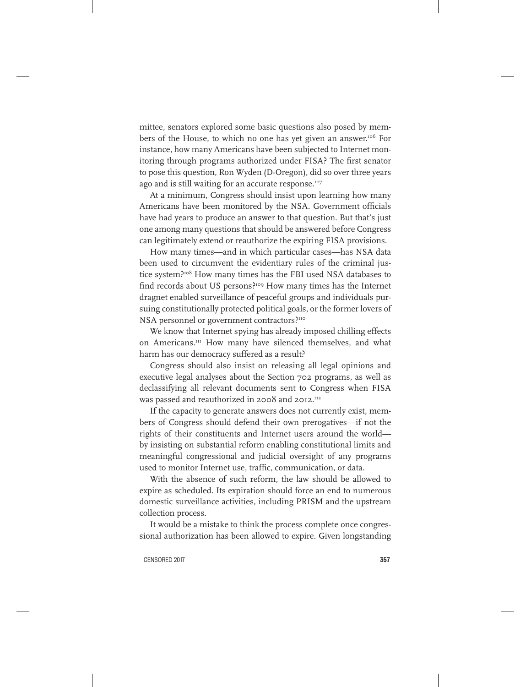mittee, senators explored some basic questions also posed by members of the House, to which no one has yet given an answer.<sup>106</sup> For instance, how many Americans have been subjected to Internet monitoring through programs authorized under FISA? The first senator to pose this question, Ron Wyden (D-Oregon), did so over three years ago and is still waiting for an accurate response.<sup>107</sup>

At a minimum, Congress should insist upon learning how many Americans have been monitored by the NSA. Government officials have had years to produce an answer to that question. But that's just one among many questions that should be answered before Congress can legitimately extend or reauthorize the expiring FISA provisions.

How many times—and in which particular cases—has NSA data been used to circumvent the evidentiary rules of the criminal justice system?<sup>108</sup> How many times has the FBI used NSA databases to find records about US persons?<sup>109</sup> How many times has the Internet dragnet enabled surveillance of peaceful groups and individuals pursuing constitutionally protected political goals, or the former lovers of NSA personnel or government contractors?<sup>110</sup>

We know that Internet spying has already imposed chilling effects on Americans.111 How many have silenced themselves, and what harm has our democracy suffered as a result?

Congress should also insist on releasing all legal opinions and executive legal analyses about the Section 702 programs, as well as declassifying all relevant documents sent to Congress when FISA was passed and reauthorized in 2008 and 2012.<sup>112</sup>

If the capacity to generate answers does not currently exist, members of Congress should defend their own prerogatives—if not the rights of their constituents and Internet users around the world by insisting on substantial reform enabling constitutional limits and meaningful congressional and judicial oversight of any programs used to monitor Internet use, traffic, communication, or data.

With the absence of such reform, the law should be allowed to expire as scheduled. Its expiration should force an end to numerous domestic surveillance activities, including PRISM and the upstream collection process.

It would be a mistake to think the process complete once congressional authorization has been allowed to expire. Given longstanding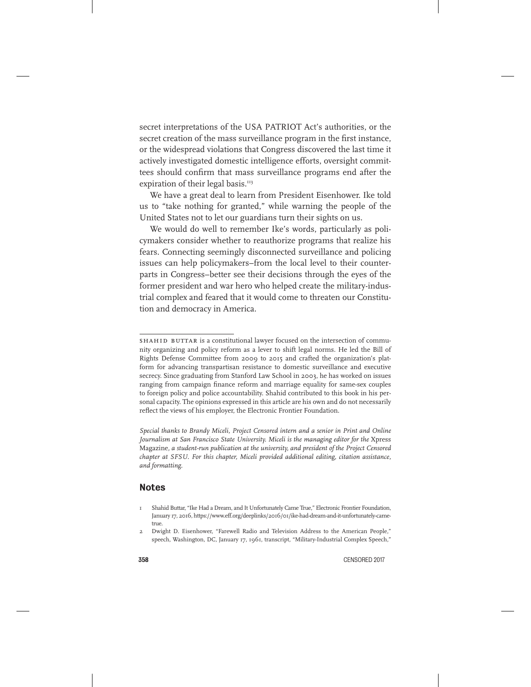secret interpretations of the USA PATRIOT Act's authorities, or the secret creation of the mass surveillance program in the first instance, or the widespread violations that Congress discovered the last time it actively investigated domestic intelligence efforts, oversight committees should confirm that mass surveillance programs end after the expiration of their legal basis.<sup>113</sup>

We have a great deal to learn from President Eisenhower. Ike told us to "take nothing for granted," while warning the people of the United States not to let our guardians turn their sights on us.

We would do well to remember Ike's words, particularly as policymakers consider whether to reauthorize programs that realize his fears. Connecting seemingly disconnected surveillance and policing issues can help policymakers–from the local level to their counterparts in Congress–better see their decisions through the eyes of the former president and war hero who helped create the military-industrial complex and feared that it would come to threaten our Constitution and democracy in America.

*Special thanks to Brandy Miceli, Project Censored intern and a senior in Print and Online*  Journalism at San Francisco State University. Miceli is the managing editor for the Xpress Magazine*, a student-run publication at the university, and president of the Project Censored chapter at SFSU. For this chapter, Miceli provided additional editing, citation assistance, and formatting.*

#### Notes

SHAHID BUTTAR is a constitutional lawyer focused on the intersection of community organizing and policy reform as a lever to shift legal norms. He led the Bill of Rights Defense Committee from 2009 to 2015 and crafted the organization's platform for advancing transpartisan resistance to domestic surveillance and executive secrecy. Since graduating from Stanford Law School in 2003, he has worked on issues ranging from campaign finance reform and marriage equality for same-sex couples to foreign policy and police accountability. Shahid contributed to this book in his personal capacity. The opinions expressed in this article are his own and do not necessarily reflect the views of his employer, the Electronic Frontier Foundation.

<sup>1</sup> Shahid Buttar, "Ike Had a Dream, and It Unfortunately Came True," Electronic Frontier Foundation, January 17, 2016, https://www.eff.org/deeplinks/2016/01/ike-had-dream-and-it-unfortunately-cametrue.

<sup>2</sup> Dwight D. Eisenhower, "Farewell Radio and Television Address to the American People," speech, Washington, DC, January 17, 1961, transcript, "Military-Industrial Complex Speech,"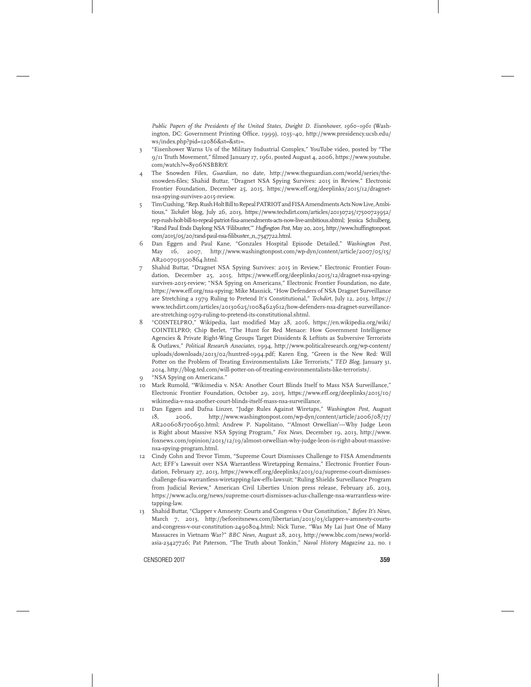*Public Papers of the Presidents of the United States, Dwight D. Eisenhower, 1960–1961* (Washington, DC: Government Printing Office, 1999), 1035–40, http://www.presidency.ucsb.edu/ ws/index.php?pid=12086&st=&st1=.

- 3 "Eisenhower Warns Us of the Military Industrial Complex," YouTube video, posted by "The 9/11 Truth Movement," filmed January 17, 1961, posted August 4, 2006, https://www.youtube. com/watch?v=8y06NSBBRtY.
- 4 The Snowden Files, *Guardian*, no date, http://www.theguardian.com/world/series/thesnowden-files; Shahid Buttar, "Dragnet NSA Spying Survives: 2015 in Review," Electronic Frontier Foundation*,* December 25, 2015, https://www.eff.org/deeplinks/2015/12/dragnetnsa-spying-survives-2015-review.
- 5 Tim Cushing, "Rep. Rush Holt Bill to Repeal PATRIOT and FISA Amendments Acts Now Live, Ambitious," *Techdirt* blog, July 26, 2013, https://www.techdirt.com/articles/20130725/17500723952/ rep-rush-holt-bill-to-repeal-patriot-fisa-amendments-acts-now-live-ambitious.shtml; Jessica Schulberg, "Rand Paul Ends Daylong NSA 'Filibuster,'" *Huffington Post*, May 20, 2015, http://www.huffingtonpost. com/2015/05/20/rand-paul-nsa-filibuster\_n\_7347722.html.
- 6 Dan Eggen and Paul Kane, "Gonzales Hospital Episode Detailed," *Washington Post*, May 16, 2007, http://www.washingtonpost.com/wp-dyn/content/article/2007/05/15/ AR2007051500864.html.
- 7 Shahid Buttar, "Dragnet NSA Spying Survives: 2015 in Review," Electronic Frontier Foundation, December 25, 2015, https://www.eff.org/deeplinks/2015/12/dragnet-nsa-spyingsurvives-2015-review; "NSA Spying on Americans," Electronic Frontier Foundation, no date, https://www.eff.org/nsa-spying; Mike Masnick, "How Defenders of NSA Dragnet Surveillance are Stretching a 1979 Ruling to Pretend It's Constitutional," *Techdirt*, July 12, 2013, https:// www.techdirt.com/articles/20130625/10084623612/how-defenders-nsa-dragnet-surveillanceare-stretching-1979-ruling-to-pretend-its-constitutional.shtml.
- 8 "COINTELPRO," Wikipedia, last modified May 28, 2016, https://en.wikipedia.org/wiki/ COINTELPRO; Chip Berlet, "The Hunt for Red Menace: How Government Intelligence Agencies & Private Right-Wing Groups Target Dissidents & Leftists as Subversive Terrorists & Outlaws," *Political Research Associates*, 1994, http://www.politicalresearch.org/wp-content/ uploads/downloads/2013/02/huntred-1994.pdf; Karen Eng, "Green is the New Red: Will Potter on the Problem of Treating Environmentalists Like Terrorists," *TED Blog*, January 31, 2014, http://blog.ted.com/will-potter-on-of-treating-environmentalists-like-terrorists/.
- "NSA Spying on Americans."
- 10 Mark Rumold, "Wikimedia v. NSA: Another Court Blinds Itself to Mass NSA Surveillance," Electronic Frontier Foundation, October 29, 2015, https://www.eff.org/deeplinks/2015/10/ wikimedia-v-nsa-another-court-blinds-itself-mass-nsa-surveillance.
- 11 Dan Eggen and Dafna Linzer, "Judge Rules Against Wiretaps," *Washington Post*, August 18, 2006, http://www.washingtonpost.com/wp-dyn/content/article/2006/08/17/ AR2006081700650.html; Andrew P. Napolitano, "'Almost Orwellian'—Why Judge Leon is Right about Massive NSA Spying Program," *Fox News*, December 19, 2013, http://www. foxnews.com/opinion/2013/12/19/almost-orwellian-why-judge-leon-is-right-about-massivensa-spying-program.html.
- 12 Cindy Cohn and Trevor Timm, "Supreme Court Dismisses Challenge to FISA Amendments Act; EFF's Lawsuit over NSA Warrantless Wiretapping Remains," Electronic Frontier Foundation*,* February 27, 2013, https://www.eff.org/deeplinks/2013/02/supreme-court-dismisseschallenge-fisa-warrantless-wiretapping-law-effs-lawsuit; "Ruling Shields Surveillance Program from Judicial Review," American Civil Liberties Union press release, February 26, 2013, https://www.aclu.org/news/supreme-court-dismisses-aclus-challenge-nsa-warrantless-wiretapping-law.
- 13 Shahid Buttar, "Clapper v Amnesty: Courts and Congress v Our Constitution," *Before It's News*, March 7, 2013, http://beforeitsnews.com/libertarian/2013/03/clapper-v-amnesty-courtsand-congress-v-our-constitution-2490804.html; Nick Turse, "Was My Lai Just One of Many Massacres in Vietnam War?" *BBC News*, August 28, 2013, http://www.bbc.com/news/worldasia-23427726; Pat Paterson, "The Truth about Tonkin," *Naval History Magazine* 22, no. 1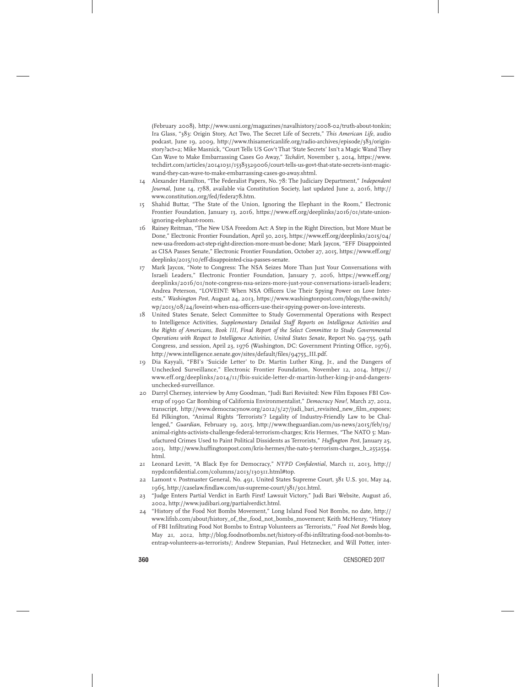(February 2008), http://www.usni.org/magazines/navalhistory/2008-02/truth-about-tonkin; Ira Glass, "383: Origin Story, Act Two, The Secret Life of Secrets," *This American Life*, audio podcast, June 19, 2009, http://www.thisamericanlife.org/radio-archives/episode/383/originstory?act=2; Mike Masnick, "Court Tells US Gov't That 'State Secrets' Isn't a Magic Wand They Can Wave to Make Embarrassing Cases Go Away," *Techdirt*, November 3, 2014, https://www. techdirt.com/articles/20141031/15383329006/court-tells-us-govt-that-state-secrets-isnt-magicwand-they-can-wave-to-make-embarrassing-cases-go-away.shtml.

- 14 Alexander Hamilton, "The Federalist Papers, No. 78: The Judiciary Department," *Independent Journal*, June 14, 1788, available via Constitution Society, last updated June 2, 2016, http:// www.constitution.org/fed/federa78.htm.
- 15 Shahid Buttar, "The State of the Union, Ignoring the Elephant in the Room," Electronic Frontier Foundation*,* January 13, 2016, https://www.eff.org/deeplinks/2016/01/state-unionignoring-elephant-room.
- 16 Rainey Reitman, "The New USA Freedom Act: A Step in the Right Direction, but More Must be Done," Electronic Frontier Foundation, April 30, 2015, https://www.eff.org/deeplinks/2015/04/ new-usa-freedom-act-step-right-direction-more-must-be-done; Mark Jaycox, "EFF Disappointed as CISA Passes Senate," Electronic Frontier Foundation*,* October 27, 2015, https://www.eff.org/ deeplinks/2015/10/eff-disappointed-cisa-passes-senate.
- 17 Mark Jaycox, "Note to Congress: The NSA Seizes More Than Just Your Conversations with Israeli Leaders," Electronic Frontier Foundation*,* January 7, 2016, https://www.eff.org/ deeplinks/2016/01/note-congress-nsa-seizes-more-just-your-conversations-israeli-leaders; Andrea Peterson, "LOVEINT: When NSA Officers Use Their Spying Power on Love Interests," *Washington Post*, August 24, 2013, https://www.washingtonpost.com/blogs/the-switch/ wp/2013/08/24/loveint-when-nsa-officers-use-their-spying-power-on-love-interests.
- 18 United States Senate, Select Committee to Study Governmental Operations with Respect to Intelligence Activities*, Supplementary Detailed Staff Reports on Intelligence Activities and the Rights of Americans, Book III, Final Report of the Select Committee to Study Governmental Operations with Respect to Intelligence Activities, United States Senate*, Report No. 94-755, 94th Congress, 2nd session, April 23, 1976 (Washington, DC: Government Printing Office, 1976), http://www.intelligence.senate.gov/sites/default/files/94755\_III.pdf.
- 19 Dia Kayyali, "FBI's 'Suicide Letter' to Dr. Martin Luther King, Jr., and the Dangers of Unchecked Surveillance," Electronic Frontier Foundation*,* November 12, 2014, https:// www.eff.org/deeplinks/2014/11/fbis-suicide-letter-dr-martin-luther-king-jr-and-dangersunchecked-surveillance.
- 20 Darryl Cherney, interview by Amy Goodman, "Judi Bari Revisited: New Film Exposes FBI Coverup of 1990 Car Bombing of California Environmentalist," *Democracy Now!*, March 27, 2012, transcript, http://www.democracynow.org/2012/3/27/judi\_bari\_revisited\_new\_film\_exposes; Ed Pilkington, "Animal Rights 'Terrorists'? Legality of Industry-Friendly Law to be Challenged," *Guardian*, February 19, 2015, http://www.theguardian.com/us-news/2015/feb/19/ animal-rights-activists-challenge-federal-terrorism-charges; Kris Hermes, "The NATO 5: Manufactured Crimes Used to Paint Political Dissidents as Terrorists," *Huffington Post*, January 25, 2013, http://www.huffingtonpost.com/kris-hermes/the-nato-5-terrorism-charges\_b\_2552554. html.
- 21 Leonard Levitt, "A Black Eye for Democracy," *NYPD Confidential*, March 11, 2013, http:// nypdconfidential.com/columns/2013/130311.html#top.
- Lamont v. Postmaster General, No. 491, United States Supreme Court, 381 U.S. 301, May 24, 1965, http://caselaw.findlaw.com/us-supreme-court/381/301.html.
- 23 "Judge Enters Partial Verdict in Earth First! Lawsuit Victory," Judi Bari Website, August 26, 2002, http://www.judibari.org/partialverdict.html.
- 24 "History of the Food Not Bombs Movement," Long Island Food Not Bombs, no date, http:// www.lifnb.com/about/history\_of\_the\_food\_not\_bombs\_movement; Keith McHenry, "History of FBI Infiltrating Food Not Bombs to Entrap Volunteers as 'Terrorists,'" *Food Not Bombs* blog, May 21, 2012, http://blog.foodnotbombs.net/history-of-fbi-infiltrating-food-not-bombs-toentrap-volunteers-as-terrorists/; Andrew Stepanian, Paul Hetznecker, and Will Potter, inter-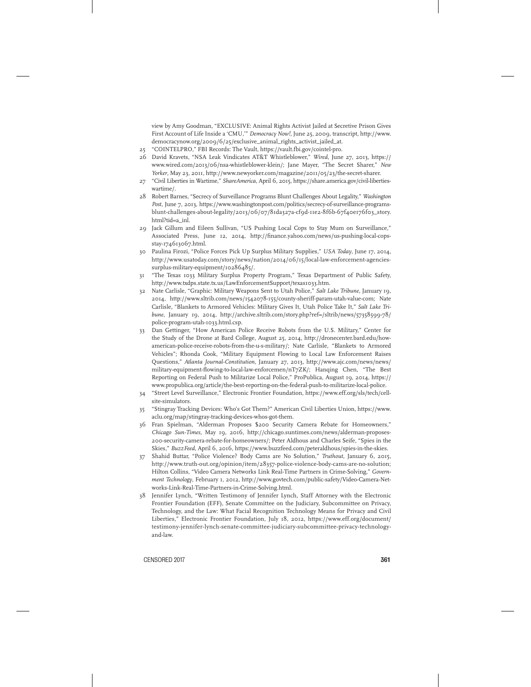view by Amy Goodman, "EXCLUSIVE: Animal Rights Activist Jailed at Secretive Prison Gives First Account of Life Inside a 'CMU,'" *Democracy Now!*, June 25, 2009, transcript, http://www. democracynow.org/2009/6/25/exclusive\_animal\_rights\_activist\_jailed\_at.

- 25 "COINTELPRO," FBI Records: The Vault, https://vault.fbi.gov/cointel-pro.
- 26 David Kravets, "NSA Leak Vindicates AT&T Whistleblower," *Wired*, June 27, 2013, https:// www.wired.com/2013/06/nsa-whistleblower-klein/; Jane Mayer, "The Secret Sharer," *New Yorker*, May 23, 2011, http://www.newyorker.com/magazine/2011/05/23/the-secret-sharer.
- 27 "Civil Liberties in Wartime," *ShareAmerica*, April 6, 2015, https://share.america.gov/civil-libertieswartime/.
- 28 Robert Barnes, "Secrecy of Surveillance Programs Blunt Challenges About Legality," *Washington Post*, June 7, 2013, https://www.washingtonpost.com/politics/secrecy-of-surveillance-programsblunt-challenges-about-legality/2013/06/07/81da327a-cf9d-11e2-8f6b-67f40e176f03\_story. html?tid=a\_inl.
- 29 Jack Gillum and Eileen Sullivan, "US Pushing Local Cops to Stay Mum on Surveillance," Associated Press, June 12, 2014, http://finance.yahoo.com/news/us-pushing-local-copsstay-174613067.html.
- 30 Paulina Firozi, "Police Forces Pick Up Surplus Military Supplies," *USA Today*, June 17, 2014, http://www.usatoday.com/story/news/nation/2014/06/15/local-law-enforcement-agenciessurplus-military-equipment/10286485/.
- 31 "The Texas 1033 Military Surplus Property Program," Texas Department of Public Safety, http://www.txdps.state.tx.us/LawEnforcementSupport/texas1033.htm.
- 32 Nate Carlisle, "Graphic: Military Weapons Sent to Utah Police," *Salt Lake Tribune*, January 19, 2014, http://www.sltrib.com/news/1542078-155/county-sheriff-param-utah-value-com; Nate Carlisle, "Blankets to Armored Vehicles: Military Gives It, Utah Police Take It," *Salt Lake Tribune*, January 19, 2014, http://archive.sltrib.com/story.php?ref=/sltrib/news/57358599-78/ police-program-utah-1033.html.csp.
- 33 Dan Gettinger, "How American Police Receive Robots from the U.S. Military," Center for the Study of the Drone at Bard College, August 25, 2014, http://dronecenter.bard.edu/howamerican-police-receive-robots-from-the-u-s-military/; Nate Carlisle, "Blankets to Armored Vehicles"; Rhonda Cook, "Military Equipment Flowing to Local Law Enforcement Raises Questions," *Atlanta Journal-Constitution*, January 27, 2013, http://www.ajc.com/news/news/ military-equipment-flowing-to-local-law-enforcemen/nT7ZK/; Hanqing Chen, "The Best Reporting on Federal Push to Militarize Local Police," ProPublica, August 19, 2014, https:// www.propublica.org/article/the-best-reporting-on-the-federal-push-to-militarize-local-police.
- 34 "Street Level Surveillance," Electronic Frontier Foundation, https://www.eff.org/sls/tech/cellsite-simulators.
- 35 "Stingray Tracking Devices: Who's Got Them?" American Civil Liberties Union, https://www. aclu.org/map/stingray-tracking-devices-whos-got-them.
- 36 Fran Spielman, "Alderman Proposes \$200 Security Camera Rebate for Homeowners," *Chicago Sun-Times*, May 19, 2016, http://chicago.suntimes.com/news/alderman-proposes-200-security-camera-rebate-for-homeowners/; Peter Aldhous and Charles Seife, "Spies in the Skies," *BuzzFeed*, April 6, 2016, https://www.buzzfeed.com/peteraldhous/spies-in-the-skies.
- 37 Shahid Buttar, "Police Violence? Body Cams are No Solution," *Truthout*, January 6, 2015, http://www.truth-out.org/opinion/item/28357-police-violence-body-cams-are-no-solution; Hilton Collins, "Video Camera Networks Link Real-Time Partners in Crime-Solving," *Government Technology*, February 1, 2012, http://www.govtech.com/public-safety/Video-Camera-Networks-Link-Real-Time-Partners-in-Crime-Solving.html.
- 38 Jennifer Lynch, "Written Testimony of Jennifer Lynch, Staff Attorney with the Electronic Frontier Foundation (EFF), Senate Committee on the Judiciary, Subcommittee on Privacy, Technology, and the Law: What Facial Recognition Technology Means for Privacy and Civil Liberties," Electronic Frontier Foundation, July 18, 2012, https://www.eff.org/document/ testimony-jennifer-lynch-senate-committee-judiciary-subcommittee-privacy-technologyand-law.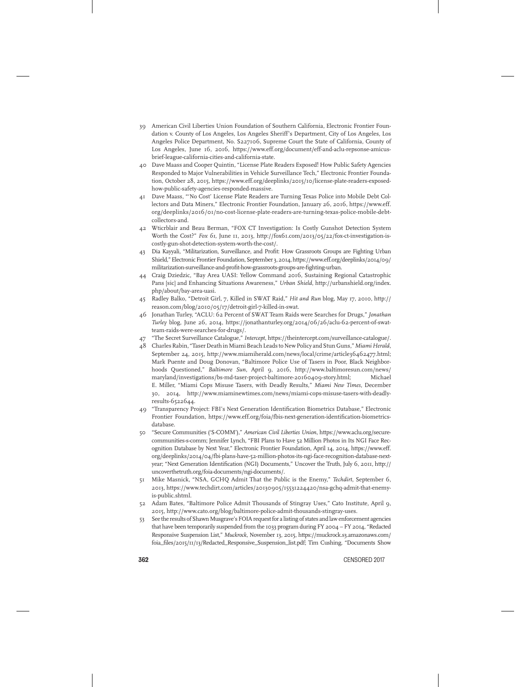- 39 American Civil Liberties Union Foundation of Southern California, Electronic Frontier Foundation v. County of Los Angeles, Los Angeles Sheriff's Department, City of Los Angeles, Los Angeles Police Department, No. S227106, Supreme Court the State of California, County of Los Angeles, June 16, 2016, https://www.eff.org/document/eff-and-aclu-repsonse-amicusbrief-league-california-cities-and-california-state.
- 40 Dave Maass and Cooper Quintin, "License Plate Readers Exposed! How Public Safety Agencies Responded to Major Vulnerabilities in Vehicle Surveillance Tech," Electronic Frontier Foundation, October 28, 2015, https://www.eff.org/deeplinks/2015/10/license-plate-readers-exposedhow-public-safety-agencies-responded-massive.
- 41 Dave Maass, "'No Cost' License Plate Readers are Turning Texas Police into Mobile Debt Collectors and Data Miners," Electronic Frontier Foundation, January 26, 2016, https://www.eff. org/deeplinks/2016/01/no-cost-license-plate-readers-are-turning-texas-police-mobile-debtcollectors-and.
- 42 Wticrblair and Beau Berman, "FOX CT Investigation: Is Costly Gunshot Detection System Worth the Cost?" *Fox 61*, June 11, 2013, http://fox61.com/2013/05/22/fox-ct-investigation-iscostly-gun-shot-detection-system-worth-the-cost/.
- 43 Dia Kayyali, "Militarization, Surveillance, and Profit: How Grassroots Groups are Fighting Urban Shield," Electronic Frontier Foundation, September 3, 2014, https://www.eff.org/deeplinks/2014/09/ militarization-surveillance-and-profit-how-grassroots-groups-are-fighting-urban.
- 44 Craig Dziedzic, "Bay Area UASI: Yellow Command 2016, Sustaining Regional Catastrophic Pans [sic] and Enhancing Situations Awareness," *Urban Shield*, http://urbanshield.org/index. php/about/bay-area-uasi.
- 45 Radley Balko, "Detroit Girl, 7, Killed in SWAT Raid," *Hit and Run* blog, May 17, 2010, http:// reason.com/blog/2010/05/17/detroit-girl-7-killed-in-swat.
- 46 Jonathan Turley, "ACLU: 62 Percent of SWAT Team Raids were Searches for Drugs," *Jonathan Turley* blog, June 26, 2014, https://jonathanturley.org/2014/06/26/aclu-62-percent-of-swatteam-raids-were-searches-for-drugs/.
- 47 "The Secret Surveillance Catalogue," *Intercept*, https://theintercept.com/surveillance-catalogue/. 48 Charles Rabin, "Taser Death in Miami Beach Leads to New Policy and Stun Guns," *Miami Herald*,
- September 24, 2015, http://www.miamiherald.com/news/local/crime/article36462477.html; Mark Puente and Doug Donovan, "Baltimore Police Use of Tasers in Poor, Black Neighborhoods Questioned," *Baltimore Sun*, April 9, 2016, http://www.baltimoresun.com/news/ maryland/investigations/bs-md-taser-project-baltimore-20160409-story.html; Michael E. Miller, "Miami Cops Misuse Tasers, with Deadly Results," *Miami New Times*, December 30, 2014, http://www.miaminewtimes.com/news/miami-cops-misuse-tasers-with-deadlyresults-6522644.
- 49 "Transparency Project: FBI's Next Generation Identification Biometrics Database," Electronic Frontier Foundation, https://www.eff.org/foia/fbis-next-generation-identification-biometricsdatabase.
- 50 "Secure Communities ('S-COMM')," *American Civil Liberties Union*, https://www.aclu.org/securecommunities-s-comm; Jennifer Lynch, "FBI Plans to Have 52 Million Photos in Its NGI Face Recognition Database by Next Year," Electronic Frontier Foundation, April 14, 2014, https://www.eff. org/deeplinks/2014/04/fbi-plans-have-52-million-photos-its-ngi-face-recognition-database-nextyear; "Next Generation Identification (NGI) Documents," Uncover the Truth, July 6, 2011, http:// uncoverthetruth.org/foia-documents/ngi-documents/.
- 51 Mike Masnick, "NSA, GCHQ Admit That the Public is the Enemy," *Techdirt*, September 6, 2013, https://www.techdirt.com/articles/20130905/15531224420/nsa-gchq-admit-that-enemyis-public.shtml.
- 52 Adam Bates, "Baltimore Police Admit Thousands of Stingray Uses," Cato Institute, April 9, 2015, http://www.cato.org/blog/baltimore-police-admit-thousands-stingray-uses.
- 53 See the results of Shawn Musgrave's FOIA request for a listing of states and law enforcement agencies that have been temporarily suspended from the 1033 program during FY 2004 – FY 2014, "Redacted Responsive Suspension List," *Muckrock*, November 13, 2015, https://muckrock.s3.amazonaws.com/ foia\_files/2015/11/13/Redacted\_Responsive\_Suspension\_list.pdf; Tim Cushing, "Documents Show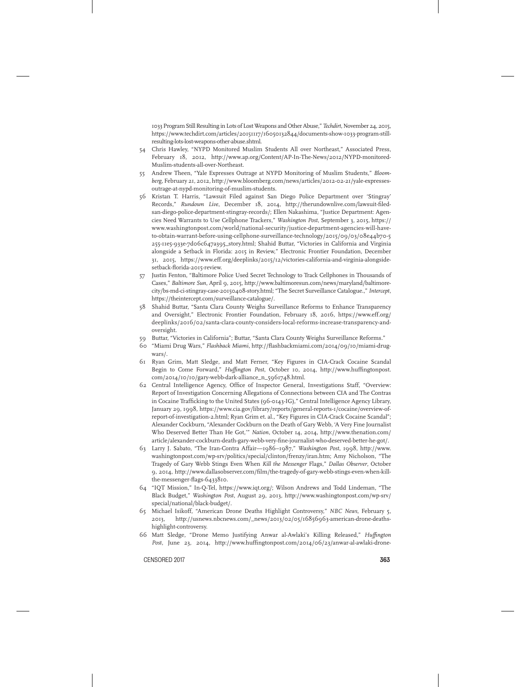1033 Program Still Resulting in Lots of Lost Weapons and Other Abuse," *Techdirt*, November 24, 2015, https://www.techdirt.com/articles/20151117/16050132844/documents-show-1033-program-stillresulting-lots-lost-weapons-other-abuse.shtml.

- 54 Chris Hawley, "NYPD Monitored Muslim Students All over Northeast," Associated Press, February 18, 2012, http://www.ap.org/Content/AP-In-The-News/2012/NYPD-monitored-Muslim-students-all-over-Northeast.
- 55 Andrew Theen, "Yale Expresses Outrage at NYPD Monitoring of Muslim Students," *Bloomberg*, February 21, 2012, http://www.bloomberg.com/news/articles/2012-02-21/yale-expressesoutrage-at-nypd-monitoring-of-muslim-students.
- 56 Kristan T. Harris, "Lawsuit Filed against San Diego Police Department over 'Stingray' Records," *Rundown Live*, December 18, 2014, http://therundownlive.com/lawsuit-filedsan-diego-police-department-stingray-records/; Ellen Nakashima, "Justice Department: Agencies Need Warrants to Use Cellphone Trackers," *Washington Post*, September 3, 2015, https:// www.washingtonpost.com/world/national-security/justice-department-agencies-will-haveto-obtain-warrant-before-using-cellphone-surveillance-technology/2015/09/03/08e44b70-5 255-11e5-933e-7d06c647a395\_story.html; Shahid Buttar, "Victories in California and Virginia alongside a Setback in Florida: 2015 in Review," Electronic Frontier Foundation, December 31, 2015, https://www.eff.org/deeplinks/2015/12/victories-california-and-virginia-alongsidesetback-florida-2015-review.
- 57 Justin Fenton, "Baltimore Police Used Secret Technology to Track Cellphones in Thousands of Cases," *Baltimore Sun*, April 9, 2015, http://www.baltimoresun.com/news/maryland/baltimorecity/bs-md-ci-stingray-case-20150408-story.html; "The Secret Surveillance Catalogue.," *Intercept*, https://theintercept.com/surveillance-catalogue/.
- 58 Shahid Buttar, "Santa Clara County Weighs Surveillance Reforms to Enhance Transparency and Oversight," Electronic Frontier Foundation, February 18, 2016, https://www.eff.org/ deeplinks/2016/02/santa-clara-county-considers-local-reforms-increase-transparency-andoversight.
- 59 Buttar, "Victories in California"; Buttar, "Santa Clara County Weighs Surveillance Reforms."
- 60 "Miami Drug Wars," *Flashback Miami*, http://flashbackmiami.com/2014/09/10/miami-drugwars/.
- 61 Ryan Grim, Matt Sledge, and Matt Ferner, "Key Figures in CIA-Crack Cocaine Scandal Begin to Come Forward," *Huffington Post*, October 10, 2014, http://www.huffingtonpost. com/2014/10/10/gary-webb-dark-alliance\_n\_5961748.html.
- 62 Central Intelligence Agency, Office of Inspector General, Investigations Staff, "Overview: Report of Investigation Concerning Allegations of Connections between CIA and The Contras in Cocaine Trafficking to the United States (96-0143-IG)," Central Intelligence Agency Library, January 29, 1998, https://www.cia.gov/library/reports/general-reports-1/cocaine/overview-ofreport-of-investigation-2.html; Ryan Grim et. al., "Key Figures in CIA-Crack Cocaine Scandal"; Alexander Cockburn, "Alexander Cockburn on the Death of Gary Webb, 'A Very Fine Journalist Who Deserved Better Than He Got,'" *Nation*, October 14, 2014, http://www.thenation.com/ article/alexander-cockburn-death-gary-webb-very-fine-journalist-who-deserved-better-he-got/.
- 63 Larry J. Sabato, "The Iran-Contra Affair—1986–1987," *Washington Post*, 1998, http://www. washingtonpost.com/wp-srv/politics/special/clinton/frenzy/iran.htm; Amy Nicholson, "The Tragedy of Gary Webb Stings Even When *Kill the Messenger* Flags," *Dallas Observer*, October 9, 2014, http://www.dallasobserver.com/film/the-tragedy-of-gary-webb-stings-even-when-killthe-messenger-flags-6433810.
- 64 "IQT Mission," In-Q-Tel, https://www.iqt.org/; Wilson Andrews and Todd Lindeman, "The Black Budget," *Washington Post*, August 29, 2013, http://www.washingtonpost.com/wp-srv/ special/national/black-budget/.
- 65 Michael Isikoff, "American Drone Deaths Highlight Controversy," *NBC News*, February 5, 2013, http://usnews.nbcnews.com/\_news/2013/02/05/16856963-american-drone-deathshighlight-controversy.
- 66 Matt Sledge, "Drone Memo Justifying Anwar al-Awlaki's Killing Released," *Huffington Post*, June 23, 2014, http://www.huffingtonpost.com/2014/06/23/anwar-al-awlaki-drone-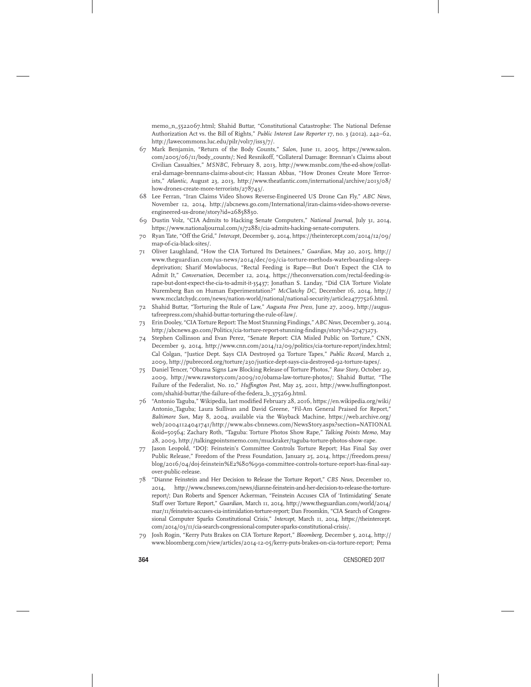memo\_n\_5522067.html; Shahid Buttar, "Constitutional Catastrophe: The National Defense Authorization Act vs. the Bill of Rights," *Public Interest Law Reporter* 17, no. 3 (2012), 242–62, http://lawecommons.luc.edu/pilr/vol17/iss3/7/.

- 67 Mark Benjamin, "Return of the Body Counts," *Salon*, June 11, 2005, https://www.salon. com/2005/06/11/body\_counts/; Ned Resnikoff, "Collateral Damage: Brennan's Claims about Civilian Casualties," *MSNBC*, February 8, 2013, http://www.msnbc.com/the-ed-show/collateral-damage-brennans-claims-about-civ; Hassan Abbas, "How Drones Create More Terrorists," *Atlantic*, August 23, 2013, http://www.theatlantic.com/international/archive/2013/08/ how-drones-create-more-terrorists/278743/.
- 68 Lee Ferran, "Iran Claims Video Shows Reverse-Engineered US Drone Can Fly," *ABC News*, November 12, 2014, http://abcnews.go.com/International/iran-claims-video-shows-reverseengineered-us-drone/story?id=26858830.
- 69 Dustin Volz, "CIA Admits to Hacking Senate Computers," *National Journal*, July 31, 2014, https://www.nationaljournal.com/s/72881/cia-admits-hacking-senate-computers.
- 70 Ryan Tate, "Off the Grid," *Intercept*, December 9, 2014, https://theintercept.com/2014/12/09/ map-of-cia-black-sites/.
- 71 Oliver Laughland, "How the CIA Tortured Its Detainees," *Guardian*, May 20, 2015, http:// www.theguardian.com/us-news/2014/dec/09/cia-torture-methods-waterboarding-sleepdeprivation; Sharif Mowlabocus, "Rectal Feeding is Rape—But Don't Expect the CIA to Admit It," *Conversation*, December 12, 2014, https://theconversation.com/rectal-feeding-isrape-but-dont-expect-the-cia-to-admit-it-35437; Jonathan S. Landay, "Did CIA Torture Violate Nuremberg Ban on Human Experimentation?" *McClatchy DC*, December 16, 2014, http:// www.mcclatchydc.com/news/nation-world/national/national-security/article24777526.html.
- 72 Shahid Buttar, "Torturing the Rule of Law," *Augusta Free Press*, June 27, 2009, http://augustafreepress.com/shahid-buttar-torturing-the-rule-of-law/.
- 73 Erin Dooley, "CIA Torture Report: The Most Stunning Findings," *ABC News*, December 9, 2014, http://abcnews.go.com/Politics/cia-torture-report-stunning-findings/story?id=27473273.
- 74 Stephen Collinson and Evan Perez, "Senate Report: CIA Misled Public on Torture," CNN, December 9, 2014, http://www.cnn.com/2014/12/09/politics/cia-torture-report/index.html; Cal Colgan, "Justice Dept. Says CIA Destroyed 92 Torture Tapes," *Public Record*, March 2, 2009, http://pubrecord.org/torture/230/justice-dept-says-cia-destroyed-92-torture-tapes/.
- 75 Daniel Tencer, "Obama Signs Law Blocking Release of Torture Photos," *Raw Story*, October 29, 2009, http://www.rawstory.com/2009/10/obama-law-torture-photos/; Shahid Buttar, "The Failure of the Federalist, No. 10," *Huffington Post*, May 25, 2011, http://www.huffingtonpost. com/shahid-buttar/the-failure-of-the-federa\_b\_375269.html.
- 76 "Antonio Taguba," Wikipedia, last modified February 28, 2016, https://en.wikipedia.org/wiki/ Antonio\_Taguba; Laura Sullivan and David Greene, "Fil-Am General Praised for Report," *Baltimore Sun*, May 8, 2004, available via the Wayback Machine, https://web.archive.org/ web/20041124041741/http://www.abs-cbnnews.com/NewsStory.aspx?section=NATIONAL &oid=50564; Zachary Roth, "Taguba: Torture Photos Show Rape," *Talking Points Memo*, May 28, 2009, http://talkingpointsmemo.com/muckraker/taguba-torture-photos-show-rape.
- 77 Jason Leopold, "DOJ: Feinstein's Committee Controls Torture Report; Has Final Say over Public Release," Freedom of the Press Foundation, January 25, 2014, https://freedom.press/ blog/2016/04/doj-feinstein%E2%80%99s-committee-controls-torture-report-has-final-sayover-public-release.
- 78 "Dianne Feinstein and Her Decision to Release the Torture Report," *CBS News*, December 10, 2014, http://www.cbsnews.com/news/dianne-feinstein-and-her-decision-to-release-the-torturereport/; Dan Roberts and Spencer Ackerman, "Feinstein Accuses CIA of 'Intimidating' Senate Staff over Torture Report," *Guardian*, March 11, 2014, http://www.theguardian.com/world/2014/ mar/11/feinstein-accuses-cia-intimidation-torture-report; Dan Froomkin, "CIA Search of Congressional Computer Sparks Constitutional Crisis," *Intercept*, March 11, 2014, https://theintercept. com/2014/03/11/cia-search-congressional-computer-sparks-constitutional-crisis/.
- 79 Josh Rogin, "Kerry Puts Brakes on CIA Torture Report," *Bloomberg*, December 5, 2014, http:// www.bloomberg.com/view/articles/2014-12-05/kerry-puts-brakes-on-cia-torture-report; Pema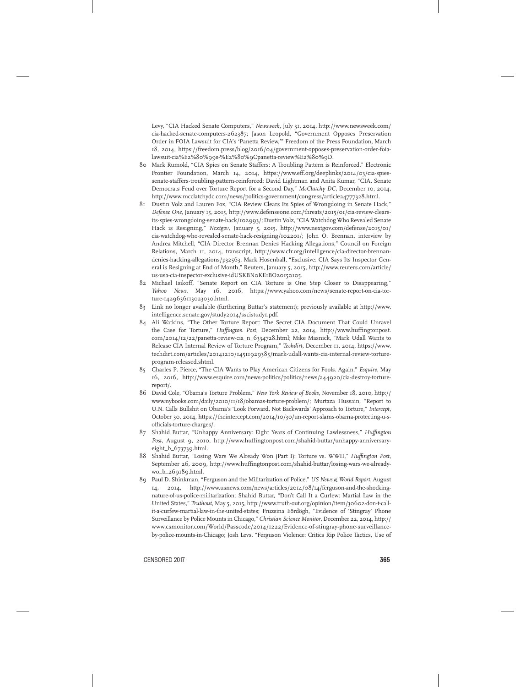Levy, "CIA Hacked Senate Computers," *Newsweek*, July 31, 2014, http://www.newsweek.com/ cia-hacked-senate-computers-262387; Jason Leopold, "Government Opposes Preservation Order in FOIA Lawsuit for CIA's 'Panetta Review,'" Freedom of the Press Foundation, March 18, 2014, https://freedom.press/blog/2016/04/government-opposes-preservation-order-foialawsuit-cia%E2%80%99s-%E2%80%9Cpanetta-review%E2%80%9D.

- 80 Mark Rumold, "CIA Spies on Senate Staffers: A Troubling Pattern is Reinforced," Electronic Frontier Foundation, March 14, 2014, https://www.eff.org/deeplinks/2014/03/cia-spiessenate-staffers-troubling-pattern-reinforced; David Lightman and Anita Kumar, "CIA, Senate Democrats Feud over Torture Report for a Second Day," *McClatchy DC*, December 10, 2014, http://www.mcclatchydc.com/news/politics-government/congress/article24777328.html.
- 81 Dustin Volz and Lauren Fox, "CIA Review Clears Its Spies of Wrongdoing in Senate Hack," *Defense One*, January 15, 2015, http://www.defenseone.com/threats/2015/01/cia-review-clearsits-spies-wrongdoing-senate-hack/102993/; Dustin Volz, "CIA Watchdog Who Revealed Senate Hack is Resigning," *Nextgov*, January 5, 2015, http://www.nextgov.com/defense/2015/01/ cia-watchdog-who-revealed-senate-hack-resigning/102201/; John O. Brennan, interview by Andrea Mitchell, "CIA Director Brennan Denies Hacking Allegations," Council on Foreign Relations, March 11, 2014, transcript, http://www.cfr.org/intelligence/cia-director-brennandenies-hacking-allegations/p32563; Mark Hosenball, "Exclusive: CIA Says Its Inspector General is Resigning at End of Month," Reuters, January 5, 2015, http://www.reuters.com/article/ us-usa-cia-inspector-exclusive-idUSKBN0KE1BO20150105.
- 82 Michael Isikoff, "Senate Report on CIA Torture is One Step Closer to Disappearing," *Yahoo News*, May 16, 2016, https://www.yahoo.com/news/senate-report-on-cia-torture-1429636113023030.html.
- 83 Link no longer available (furthering Buttar's statement); previously available at http://www. intelligence.senate.gov/study2014/sscistudy1.pdf.
- 84 Ali Watkins, "The Other Torture Report: The Secret CIA Document That Could Unravel the Case for Torture," *Huffington Post*, December 22, 2014, http://www.huffingtonpost. com/2014/12/22/panetta-review-cia\_n\_6334728.html; Mike Masnick, "Mark Udall Wants to Release CIA Internal Review of Torture Program," *Techdirt*, December 11, 2014, https://www. techdirt.com/articles/20141210/14511929385/mark-udall-wants-cia-internal-review-tortureprogram-released.shtml.
- 85 Charles P. Pierce, "The CIA Wants to Play American Citizens for Fools. Again." *Esquire*, May 16, 2016, http://www.esquire.com/news-politics/politics/news/a44920/cia-destroy-torturereport/.
- 86 David Cole, "Obama's Torture Problem," *New York Review of Books*, November 18, 2010, http:// www.nybooks.com/daily/2010/11/18/obamas-torture-problem/; Murtaza Hussain, "Report to U.N. Calls Bullshit on Obama's 'Look Forward, Not Backwards' Approach to Torture," *Intercept*, October 30, 2014, https://theintercept.com/2014/10/30/un-report-slams-obama-protecting-u-sofficials-torture-charges/.
- 87 Shahid Buttar, "Unhappy Anniversary: Eight Years of Continuing Lawlessness," *Huffington Post*, August 9, 2010, http://www.huffingtonpost.com/shahid-buttar/unhappy-anniversaryeight\_b\_673739.html.
- 88 Shahid Buttar, "Losing Wars We Already Won (Part I): Torture vs. WWII," *Huffington Post*, September 26, 2009, http://www.huffingtonpost.com/shahid-buttar/losing-wars-we-alreadywo\_b\_269189.html.
- 89 Paul D. Shinkman, "Ferguson and the Militarization of Police," *US News & World Report*, August 14, 2014, http://www.usnews.com/news/articles/2014/08/14/ferguson-and-the-shockingnature-of-us-police-militarization; Shahid Buttar, "Don't Call It a Curfew: Martial Law in the United States," *Truthout*, May 5, 2015, http://www.truth-out.org/opinion/item/30602-don-t-callit-a-curfew-martial-law-in-the-united-states; Fruzsina Eördögh, "Evidence of 'Stingray' Phone Surveillance by Police Mounts in Chicago," *Christian Science Monitor*, December 22, 2014, http:// www.csmonitor.com/World/Passcode/2014/1222/Evidence-of-stingray-phone-surveillanceby-police-mounts-in-Chicago; Josh Levs, "Ferguson Violence: Critics Rip Police Tactics, Use of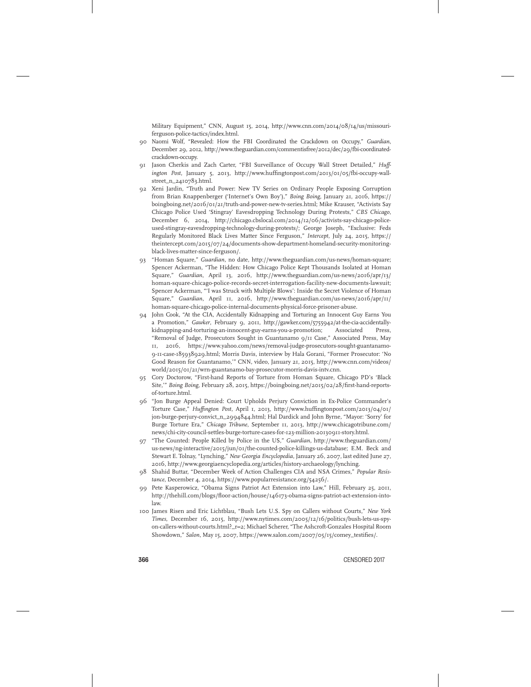Military Equipment," CNN, August 15, 2014, http://www.cnn.com/2014/08/14/us/missouriferguson-police-tactics/index.html.

- 90 Naomi Wolf, "Revealed: How the FBI Coordinated the Crackdown on Occupy," *Guardian*, December 29, 2012, http://www.theguardian.com/commentisfree/2012/dec/29/fbi-coordinatedcrackdown-occupy.
- 91 Jason Cherkis and Zach Carter, "FBI Surveillance of Occupy Wall Street Detailed," *Huffington Post*, January 5, 2013, http://www.huffingtonpost.com/2013/01/05/fbi-occupy-wallstreet\_n\_2410783.html.
- 92 Xeni Jardin, "Truth and Power: New TV Series on Ordinary People Exposing Corruption from Brian Knappenberger ('Internet's Own Boy')," *Boing Boing*, January 21, 2016, https:// boingboing.net/2016/01/21/truth-and-power-new-tv-series.html; Mike Krauser, "Activists Say Chicago Police Used 'Stingray' Eavesdropping Technology During Protests," *CBS Chicago*, December 6, 2014, http://chicago.cbslocal.com/2014/12/06/activists-say-chicago-policeused-stingray-eavesdropping-technology-during-protests/; George Joseph, "Exclusive: Feds Regularly Monitored Black Lives Matter Since Ferguson," *Intercept*, July 24, 2015, https:// theintercept.com/2015/07/24/documents-show-department-homeland-security-monitoringblack-lives-matter-since-ferguson/.
- 93 "Homan Square," *Guardian*, no date, http://www.theguardian.com/us-news/homan-square; Spencer Ackerman, "The Hidden: How Chicago Police Kept Thousands Isolated at Homan Square," *Guardian*, April 13, 2016, http://www.theguardian.com/us-news/2016/apr/13/ homan-square-chicago-police-records-secret-interrogation-facility-new-documents-lawsuit; Spencer Ackerman, "'I was Struck with Multiple Blows': Inside the Secret Violence of Homan Square," *Guardian*, April 11, 2016, http://www.theguardian.com/us-news/2016/apr/11/ homan-square-chicago-police-internal-documents-physical-force-prisoner-abuse.
- 94 John Cook, "At the CIA, Accidentally Kidnapping and Torturing an Innocent Guy Earns You a Promotion," *Gawker*, February 9, 2011, http://gawker.com/5755942/at-the-cia-accidentallykidnapping-and-torturing-an-innocent-guy-earns-you-a-promotion; Associated Press, "Removal of Judge, Prosecutors Sought in Guantanamo 9/11 Case," Associated Press, May 11, 2016, https://www.yahoo.com/news/removal-judge-prosecutors-sought-guantanamo-9-11-case-185938929.html; Morris Davis, interview by Hala Gorani, "Former Prosecutor: 'No Good Reason for Guantanamo,'" CNN, video, January 21, 2015, http://www.cnn.com/videos/ world/2015/01/21/wrn-guantanamo-bay-prosecutor-morris-davis-intv.cnn.
- 95 Cory Doctorow, "First-hand Reports of Torture from Homan Square, Chicago PD's 'Black Site,'" *Boing Boing*, February 28, 2015, https://boingboing.net/2015/02/28/first-hand-reportsof-torture.html.
- 96 "Jon Burge Appeal Denied: Court Upholds Perjury Conviction in Ex-Police Commander's Torture Case," *Huffington Post*, April 1, 2013, http://www.huffingtonpost.com/2013/04/01/ jon-burge-perjury-convict\_n\_2994844.html; Hal Dardick and John Byrne, "Mayor: 'Sorry' for Burge Torture Era," *Chicago Tribune*, September 11, 2013, http://www.chicagotribune.com/ news/chi-city-council-settles-burge-torture-cases-for-123-million-20130911-story.html.
- 97 "The Counted: People Killed by Police in the US," *Guardian*, http://www.theguardian.com/ us-news/ng-interactive/2015/jun/01/the-counted-police-killings-us-database; E.M. Beck and Stewart E. Tolnay, "Lynching," *New Georgia Encyclopedia*, January 26, 2007, last edited June 27, 2016, http://www.georgiaencyclopedia.org/articles/history-archaeology/lynching.
- 98 Shahid Buttar, "December Week of Action Challenges CIA and NSA Crimes," *Popular Resistance*, December 4, 2014, https://www.popularresistance.org/54256/.
- 99 Pete Kasperowicz, "Obama Signs Patriot Act Extension into Law," Hill, February 25, 2011, http://thehill.com/blogs/floor-action/house/146173-obama-signs-patriot-act-extension-intolaw.
- 100 James Risen and Eric Lichtblau, "Bush Lets U.S. Spy on Callers without Courts," *New York Times*, December 16, 2015, http://www.nytimes.com/2005/12/16/politics/bush-lets-us-spyon-callers-without-courts.html?\_r=2; Michael Scherer, "The Ashcroft-Gonzales Hospital Room Showdown," *Salon*, May 15, 2007, https://www.salon.com/2007/05/15/comey\_testifies/.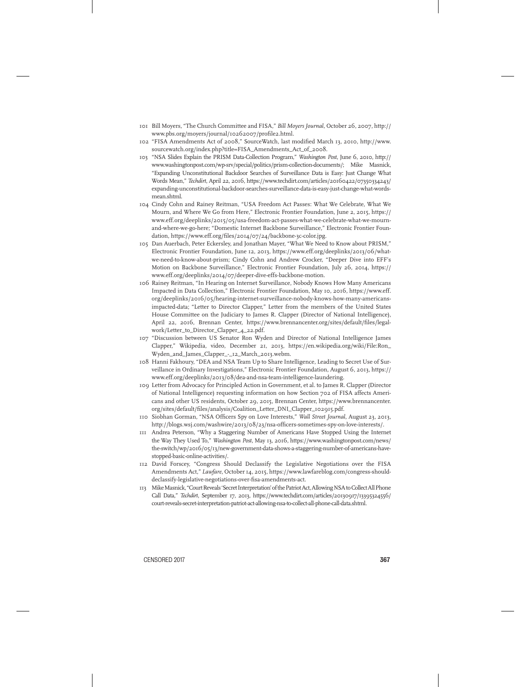- 101 Bill Moyers, "The Church Committee and FISA," *Bill Moyers Journal*, October 26, 2007, http:// www.pbs.org/moyers/journal/10262007/profile2.html.
- 102 "FISA Amendments Act of 2008," SourceWatch, last modified March 13, 2010, http://www. sourcewatch.org/index.php?title=FISA\_Amendments\_Act\_of\_2008.
- 103 "NSA Slides Explain the PRISM Data-Collection Program," *Washington Post*, June 6, 2010, http:// www.washingtonpost.com/wp-srv/special/politics/prism-collection-documents/; Mike Masnick, "Expanding Unconstitutional Backdoor Searches of Surveillance Data is Easy: Just Change What Words Mean," *Techdirt*, April 22, 2016, https://www.techdirt.com/articles/20160422/07350334243/ expanding-unconstitutional-backdoor-searches-surveillance-data-is-easy-just-change-what-wordsmean.shtml.
- 104 Cindy Cohn and Rainey Reitman, "USA Freedom Act Passes: What We Celebrate, What We Mourn, and Where We Go from Here," Electronic Frontier Foundation, June 2, 2015, https:// www.eff.org/deeplinks/2015/05/usa-freedom-act-passes-what-we-celebrate-what-we-mournand-where-we-go-here; "Domestic Internet Backbone Surveillance," Electronic Frontier Foundation, https://www.eff.org/files/2014/07/24/backbone-3c-color.jpg.
- 105 Dan Auerbach, Peter Eckersley, and Jonathan Mayer, "What We Need to Know about PRISM," Electronic Frontier Foundation*,* June 12, 2013, https://www.eff.org/deeplinks/2013/06/whatwe-need-to-know-about-prism; Cindy Cohn and Andrew Crocker, "Deeper Dive into EFF's Motion on Backbone Surveillance," Electronic Frontier Foundation, July 26, 2014, https:// www.eff.org/deeplinks/2014/07/deeper-dive-effs-backbone-motion.
- 106 Rainey Reitman, "In Hearing on Internet Surveillance, Nobody Knows How Many Americans Impacted in Data Collection," Electronic Frontier Foundation, May 10, 2016, https://www.eff. org/deeplinks/2016/05/hearing-internet-surveillance-nobody-knows-how-many-americansimpacted-data; "Letter to Director Clapper," Letter from the members of the United States House Committee on the Judiciary to James R. Clapper (Director of National Intelligence), April 22, 2016, Brennan Center, https://www.brennancenter.org/sites/default/files/legalwork/Letter\_to\_Director\_Clapper\_4\_22.pdf.
- 107 "Discussion between US Senator Ron Wyden and Director of National Intelligence James Clapper," Wikipedia, video, December 21, 2013, https://en.wikipedia.org/wiki/File:Ron\_ Wyden\_and\_James\_Clapper\_-\_12\_March\_2013.webm.
- 108 Hanni Fakhoury, "DEA and NSA Team Up to Share Intelligence, Leading to Secret Use of Surveillance in Ordinary Investigations," Electronic Frontier Foundation, August 6, 2013, https:// www.eff.org/deeplinks/2013/08/dea-and-nsa-team-intelligence-laundering.
- 109 Letter from Advocacy for Principled Action in Government, et al. to James R. Clapper (Director of National Intelligence) requesting information on how Section 702 of FISA affects Americans and other US residents, October 29, 2015, Brennan Center, https://www.brennancenter. org/sites/default/files/analysis/Coalition\_Letter\_DNI\_Clapper\_102915.pdf.
- 110 Siobhan Gorman, "NSA Officers Spy on Love Interests," *Wall Street Journal*, August 23, 2013, http://blogs.wsj.com/washwire/2013/08/23/nsa-officers-sometimes-spy-on-love-interests/.
- 111 Andrea Peterson, "Why a Staggering Number of Americans Have Stopped Using the Internet the Way They Used To," *Washington Post*, May 13, 2016, https://www.washingtonpost.com/news/ the-switch/wp/2016/05/13/new-government-data-shows-a-staggering-number-of-americans-havestopped-basic-online-activities/.
- 112 David Forscey, "Congress Should Declassify the Legislative Negotiations over the FISA Amendments Act," *Lawfare*, October 14, 2015, https://www.lawfareblog.com/congress-shoulddeclassify-legislative-negotiations-over-fisa-amendments-act.
- 113 Mike Masnick, "Court Reveals 'Secret Interpretation' of the Patriot Act, Allowing NSA to Collect All Phone Call Data," *Techdirt*, September 17, 2013, https://www.techdirt.com/articles/20130917/13395324556/ court-reveals-secret-interpretation-patriot-act-allowing-nsa-to-collect-all-phone-call-data.shtml.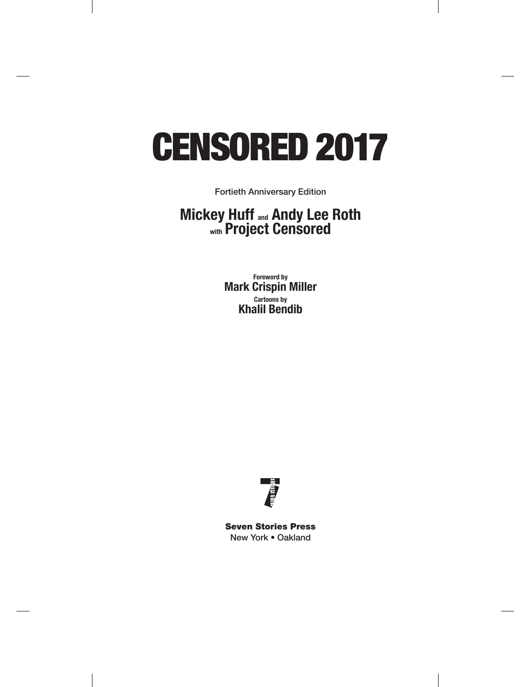# CENSORED 2017

Fortieth Anniversary Edition

### **Mickey Huff and Andy Lee Roth with Project Censored**

**Foreword by Mark Crispin Miller Cartoons by Khalil Bendib**



Seven Stories Press New York • Oakland